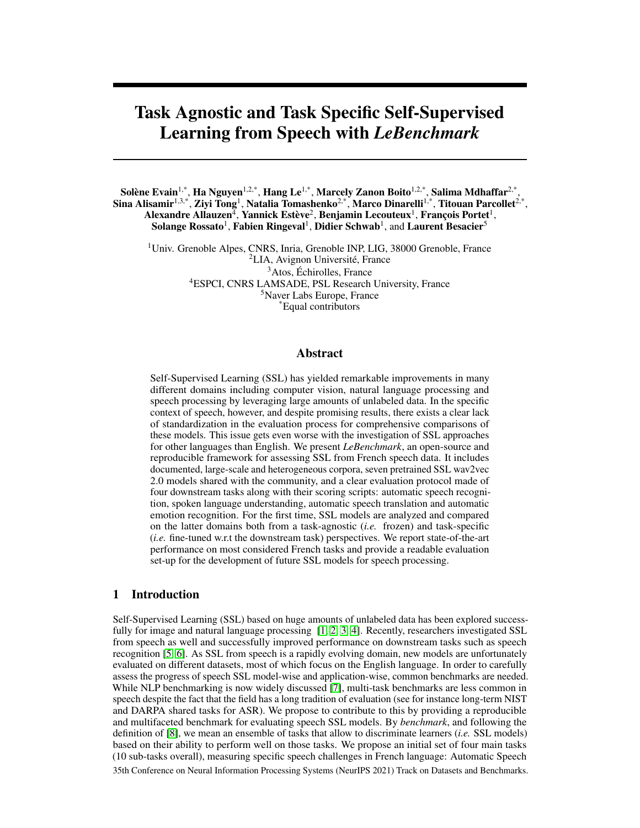# Task Agnostic and Task Specific Self-Supervised Learning from Speech with *LeBenchmark*

Solène Evain<sup>1,\*</sup>, Ha Nguyen<sup>1,2,\*</sup>, Hang Le<sup>1,\*</sup>, Marcely Zanon Boito<sup>1,2,\*</sup>, Salima Mdhaffar<sup>2,\*</sup>, Sina Alisamir $^{1,3,*}$ , Ziyi Tong $^1$ , Natalia Tomashenko $^{2,*}$ , Marco Dinarelli $^{1,*}$ , Titouan Parcollet $^{2,*}$ , Alexandre Allauzen $^{\bar{4}}$ , Yannick Estève $^2$ , Benjamin Lecouteux $^1$ , François Portet $^1$ , Solange Rossato<sup>1</sup>, Fabien Ringeval<sup>1</sup>, Didier Schwab<sup>1</sup>, and Laurent Besacier<sup>5</sup>

<sup>1</sup>Univ. Grenoble Alpes, CNRS, Inria, Grenoble INP, LIG, 38000 Grenoble, France LIA, Avignon Université, France Atos, Échirolles, France ESPCI, CNRS LAMSADE, PSL Research University, France Naver Labs Europe, France \*Equal contributors

#### Abstract

Self-Supervised Learning (SSL) has yielded remarkable improvements in many different domains including computer vision, natural language processing and speech processing by leveraging large amounts of unlabeled data. In the specific context of speech, however, and despite promising results, there exists a clear lack of standardization in the evaluation process for comprehensive comparisons of these models. This issue gets even worse with the investigation of SSL approaches for other languages than English. We present *LeBenchmark*, an open-source and reproducible framework for assessing SSL from French speech data. It includes documented, large-scale and heterogeneous corpora, seven pretrained SSL wav2vec 2.0 models shared with the community, and a clear evaluation protocol made of four downstream tasks along with their scoring scripts: automatic speech recognition, spoken language understanding, automatic speech translation and automatic emotion recognition. For the first time, SSL models are analyzed and compared on the latter domains both from a task-agnostic (*i.e.* frozen) and task-specific (*i.e.* fine-tuned w.r.t the downstream task) perspectives. We report state-of-the-art performance on most considered French tasks and provide a readable evaluation set-up for the development of future SSL models for speech processing.

## 1 Introduction

Self-Supervised Learning (SSL) based on huge amounts of unlabeled data has been explored success-fully for image and natural language processing [\[1,](#page-9-0) [2,](#page-9-1) [3,](#page-9-2) [4\]](#page-10-0). Recently, researchers investigated SSL from speech as well and successfully improved performance on downstream tasks such as speech recognition [\[5,](#page-10-1) [6\]](#page-10-2). As SSL from speech is a rapidly evolving domain, new models are unfortunately evaluated on different datasets, most of which focus on the English language. In order to carefully assess the progress of speech SSL model-wise and application-wise, common benchmarks are needed. While NLP benchmarking is now widely discussed [\[7\]](#page-10-3), multi-task benchmarks are less common in speech despite the fact that the field has a long tradition of evaluation (see for instance long-term NIST and DARPA shared tasks for ASR). We propose to contribute to this by providing a reproducible and multifaceted benchmark for evaluating speech SSL models. By *benchmark*, and following the definition of [\[8\]](#page-10-4), we mean an ensemble of tasks that allow to discriminate learners (*i.e.* SSL models) based on their ability to perform well on those tasks. We propose an initial set of four main tasks (10 sub-tasks overall), measuring specific speech challenges in French language: Automatic Speech 35th Conference on Neural Information Processing Systems (NeurIPS 2021) Track on Datasets and Benchmarks.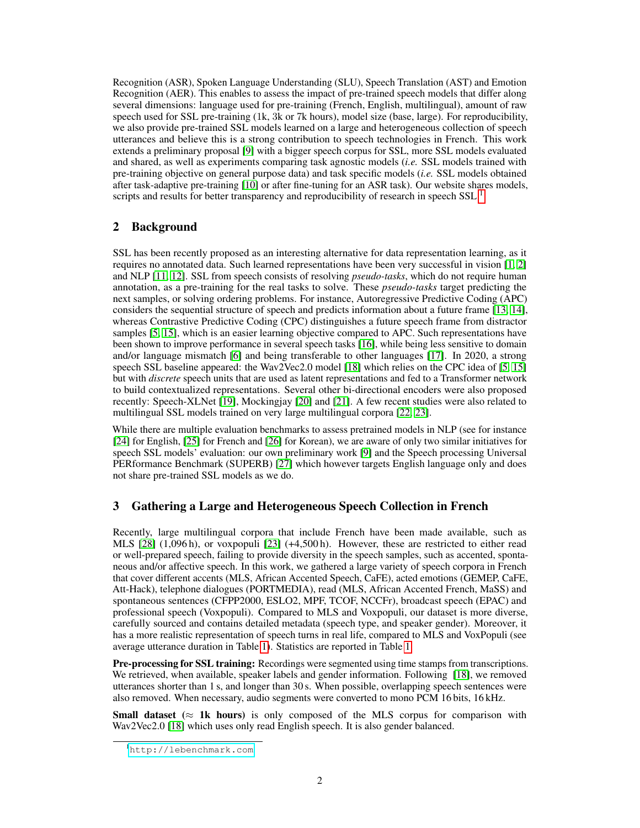Recognition (ASR), Spoken Language Understanding (SLU), Speech Translation (AST) and Emotion Recognition (AER). This enables to assess the impact of pre-trained speech models that differ along several dimensions: language used for pre-training (French, English, multilingual), amount of raw speech used for SSL pre-training (1k, 3k or 7k hours), model size (base, large). For reproducibility, we also provide pre-trained SSL models learned on a large and heterogeneous collection of speech utterances and believe this is a strong contribution to speech technologies in French. This work extends a preliminary proposal [\[9\]](#page-10-5) with a bigger speech corpus for SSL, more SSL models evaluated and shared, as well as experiments comparing task agnostic models (*i.e.* SSL models trained with pre-training objective on general purpose data) and task specific models (*i.e.* SSL models obtained after task-adaptive pre-training [\[10\]](#page-10-6) or after fine-tuning for an ASR task). Our website shares models, scripts and results for better transparency and reproducibility of research in speech SSL.<sup>[1](#page-1-0)</sup>

# 2 Background

SSL has been recently proposed as an interesting alternative for data representation learning, as it requires no annotated data. Such learned representations have been very successful in vision [\[1,](#page-9-0) [2\]](#page-9-1) and NLP [\[11,](#page-10-7) [12\]](#page-10-8). SSL from speech consists of resolving *pseudo-tasks*, which do not require human annotation, as a pre-training for the real tasks to solve. These *pseudo-tasks* target predicting the next samples, or solving ordering problems. For instance, Autoregressive Predictive Coding (APC) considers the sequential structure of speech and predicts information about a future frame [\[13,](#page-10-9) [14\]](#page-10-10), whereas Contrastive Predictive Coding (CPC) distinguishes a future speech frame from distractor samples [\[5,](#page-10-1) [15\]](#page-10-11), which is an easier learning objective compared to APC. Such representations have been shown to improve performance in several speech tasks [\[16\]](#page-10-12), while being less sensitive to domain and/or language mismatch [\[6\]](#page-10-2) and being transferable to other languages [\[17\]](#page-10-13). In 2020, a strong speech SSL baseline appeared: the Wav2Vec2.0 model [\[18\]](#page-10-14) which relies on the CPC idea of [\[5,](#page-10-1) [15\]](#page-10-11) but with *discrete* speech units that are used as latent representations and fed to a Transformer network to build contextualized representations. Several other bi-directional encoders were also proposed recently: Speech-XLNet [\[19\]](#page-10-15), Mockingjay [\[20\]](#page-11-0) and [\[21\]](#page-11-1). A few recent studies were also related to multilingual SSL models trained on very large multilingual corpora [\[22,](#page-11-2) [23\]](#page-11-3).

While there are multiple evaluation benchmarks to assess pretrained models in NLP (see for instance [\[24\]](#page-11-4) for English, [\[25\]](#page-11-5) for French and [\[26\]](#page-11-6) for Korean), we are aware of only two similar initiatives for speech SSL models' evaluation: our own preliminary work [\[9\]](#page-10-5) and the Speech processing Universal PERformance Benchmark (SUPERB) [\[27\]](#page-11-7) which however targets English language only and does not share pre-trained SSL models as we do.

# <span id="page-1-1"></span>3 Gathering a Large and Heterogeneous Speech Collection in French

Recently, large multilingual corpora that include French have been made available, such as MLS [\[28\]](#page-11-8) (1,096 h), or voxpopuli [\[23\]](#page-11-3) (+4,500 h). However, these are restricted to either read or well-prepared speech, failing to provide diversity in the speech samples, such as accented, spontaneous and/or affective speech. In this work, we gathered a large variety of speech corpora in French that cover different accents (MLS, African Accented Speech, CaFE), acted emotions (GEMEP, CaFE, Att-Hack), telephone dialogues (PORTMEDIA), read (MLS, African Accented French, MaSS) and spontaneous sentences (CFPP2000, ESLO2, MPF, TCOF, NCCFr), broadcast speech (EPAC) and professional speech (Voxpopuli). Compared to MLS and Voxpopuli, our dataset is more diverse, carefully sourced and contains detailed metadata (speech type, and speaker gender). Moreover, it has a more realistic representation of speech turns in real life, compared to MLS and VoxPopuli (see average utterance duration in Table [1\)](#page-2-0). Statistics are reported in Table [1.](#page-2-0)

Pre-processing for SSL training: Recordings were segmented using time stamps from transcriptions. We retrieved, when available, speaker labels and gender information. Following [\[18\]](#page-10-14), we removed utterances shorter than 1 s, and longer than 30 s. When possible, overlapping speech sentences were also removed. When necessary, audio segments were converted to mono PCM 16 bits, 16 kHz.

**Small dataset** ( $\approx$  1k hours) is only composed of the MLS corpus for comparison with Wav2Vec2.0 [\[18\]](#page-10-14) which uses only read English speech. It is also gender balanced.

<span id="page-1-0"></span><sup>1</sup><http://lebenchmark.com>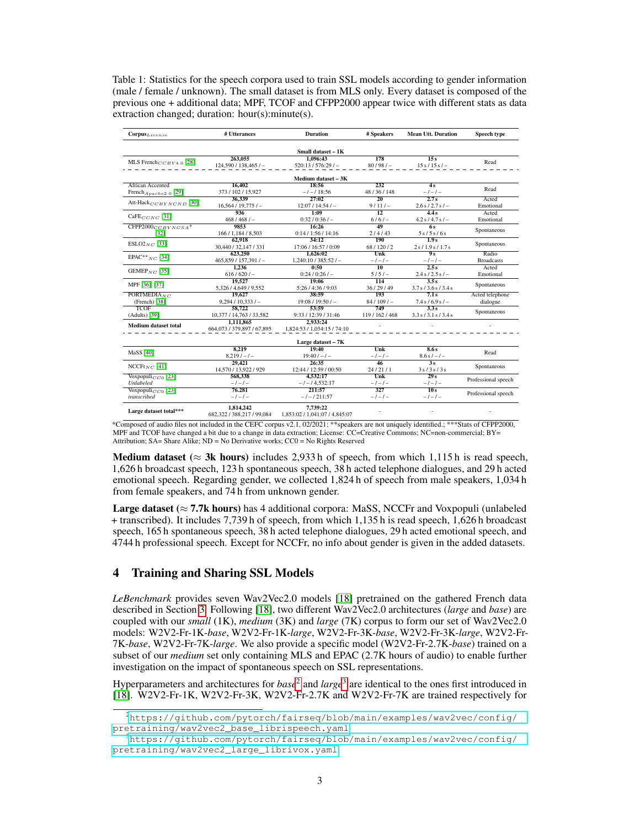<span id="page-2-0"></span>Table 1: Statistics for the speech corpora used to train SSL models according to gender information (male / female / unknown). The small dataset is from MLS only. Every dataset is composed of the previous one + additional data; MPF, TCOF and CFPP2000 appear twice with different stats as data extraction changed; duration: hour(s):minute(s).

| $\textbf{Corpus}_{\textit{License}}$ | # Utterances                      | <b>Duration</b>                | # Speakers          | <b>Mean Utt. Duration</b> | Speech type         |  |  |  |
|--------------------------------------|-----------------------------------|--------------------------------|---------------------|---------------------------|---------------------|--|--|--|
| Small dataset - 1K                   |                                   |                                |                     |                           |                     |  |  |  |
|                                      | 263,055                           | 1.096:43                       | 178                 | 15s                       |                     |  |  |  |
| MLS French $_{CCBY4.0}$ [28]         | 124,590/138,465/                  | 520:13/576:29/                 | $80/98/-$           | $15 s / 15 s / -$         | Read                |  |  |  |
|                                      |                                   | Medium dataset - 3K            |                     |                           |                     |  |  |  |
| African Accented                     | 16.402                            | 18:56                          | $\overline{232}$    | 4s                        |                     |  |  |  |
| French $_{A\,pache2.0}$ [29]         | 373 / 102 / 15,927                | $-1 - 18:56$                   | 48/36/148           | $-1-1-$                   | Read                |  |  |  |
|                                      | 36,339                            | 27:02                          | $\overline{20}$     | 2.7s                      | Acted               |  |  |  |
| Att-Hack $_{CCBYNCND}$ [30]          | 16,564/19,775/                    | $12:07/14:54/-$                | $9/11/-$            | $2.6 s / 2.7 s$ / -       | Emotional           |  |  |  |
|                                      | 936                               | 1:09                           | $\overline{12}$     | 4.4s                      | Acted               |  |  |  |
| $CaFE_{CCNC}$ [31]                   | $468/468/-$                       | $0:32/0:36/-$                  | $6/6/-$             | $4.2 s / 4.7 s / -$       | Emotional           |  |  |  |
| $CFPP2000_{CCBYNCSA}$ *              | 9853                              | 16:26                          | 49                  | 6s                        |                     |  |  |  |
| [32]                                 | 166 / 1,184 / 8,503               | 0:14/1:56/14:16                | 2/4/43              | 5s/5s/6s                  | Spontaneous         |  |  |  |
|                                      | 62,918                            | 34:12                          | 190                 | $\overline{1.9s}$         |                     |  |  |  |
| $ESLO2_{NC}$ [33]                    | 30.440 / 32.147 / 331             | 17:06 / 16:57 / 0:09           | 68/120/2            | 2s/1.9s/1.7s              | Spontaneous         |  |  |  |
|                                      | 623,250                           | 1.626:02                       | Unk                 | 9s                        | Radio               |  |  |  |
| EPAC <sup>**</sup> $NC$ [34]         | 465,859/157,391/                  | $1,240:10/385:52/-$            | $-1 - 1 -$          | $-1-1-$                   | <b>Broadcasts</b>   |  |  |  |
|                                      | 1,236                             | 0:50                           | 10                  | 2.5s                      | Acted               |  |  |  |
| GEMEP <sub>NC</sub> [35]             | $616/620/-$                       | $0:24/0:26/-$                  | $5/5/-$             | $2.4 s / 2.5 s / -$       | Emotional           |  |  |  |
|                                      | 19.527                            | 19:06                          | $\overline{114}$    | $\overline{3.5s}$         | Spontaneous         |  |  |  |
| MPF [36], [37]                       | 5,326 / 4,649 / 9,552             | 5:26/4:36/9:03                 | 36/29/49            | 3.7 s / 3.6 s / 3.4 s     |                     |  |  |  |
| PORTMEDIA $_{NC}$                    | 19.627                            | 38:59                          | 193                 | 7.1s                      | Acted telephone     |  |  |  |
| $(French)$ [38]                      | $9,294/10,333/-$                  | $19:08 / 19:50/-$              | $84/109/-$          | $7.4 s / 6.9 s / -$       | dialogue            |  |  |  |
| <b>TCOF</b>                          | 58,722                            | 53:59                          | 749                 | 3.3s                      | Spontaneous         |  |  |  |
| (Adults) [39]                        | 10,377 / 14,763 / 33,582          | 9:33 / 12:39 / 31:46           | 119 / 162 / 468     | 3.3 s / 3.1 s / 3.4 s     |                     |  |  |  |
| <b>Medium dataset total</b>          | 1,111,865                         | 2.933:24                       |                     |                           |                     |  |  |  |
|                                      | 664,073 / 379,897 / 67,895        | 1.824:53 / 1.034:15 / 74:10    |                     |                           |                     |  |  |  |
|                                      |                                   | Large dataset - 7K             |                     |                           |                     |  |  |  |
| <b>MaSS</b> [40]                     | 8.219                             | 19:40                          | Unk                 | 8.6s                      | Read                |  |  |  |
|                                      | $8.219/-/-$                       | $19:40/-/-$                    | $-1 - 1 -$          | $8.6 s/-1$                |                     |  |  |  |
|                                      | 29.421                            | 26:35                          | 46                  | 3s                        |                     |  |  |  |
| $NCCFr_{NC}$ [41]                    | 14,570 / 13,922 / 929             | 12:44 / 12:59 / 00:50          | 24/21/1             | 3s/3s/3s                  | Spontaneous         |  |  |  |
| Voxpopuli $_{CC0}$ [23]              | Unk<br>29s<br>4.532:17<br>568.338 |                                | Professional speech |                           |                     |  |  |  |
| <b>Unlabeled</b>                     | $-1-1-$                           | $-1 - 14,532:17$               | $-1-1-$             | $-1-1-$                   |                     |  |  |  |
| Voxpopuli $_{CC0}$ [23]              | 76.281                            | 211:57                         | 327                 | 10s                       | Professional speech |  |  |  |
| transcribed                          | $-1-1-$                           | $-1 - 1211:57$                 | $-1-1-$             | $-1-1-$                   |                     |  |  |  |
|                                      | 1,814,242                         | 7,739:22                       |                     |                           |                     |  |  |  |
| Large dataset total***               | 682,322 / 388,217 / 99,084        | 1,853:02 / 1,041:07 / 4,845:07 |                     |                           |                     |  |  |  |
|                                      |                                   |                                |                     |                           |                     |  |  |  |

\*Composed of audio files not included in the CEFC corpus v2.1, 02/2021; \*\*speakers are not uniquely identified.; \*\*\*Stats of CFPP2000, MPF and TCOF have changed a bit due to a change in data extraction; License: CC=Creative Commons; NC=non-commercial; BY= Attribution; SA= Share Alike; ND = No Derivative works; CC0 = No Rights Reserved

Medium dataset ( $\approx$  3k hours) includes 2,933 h of speech, from which 1,115 h is read speech, 1,626 h broadcast speech, 123 h spontaneous speech, 38 h acted telephone dialogues, and 29 h acted emotional speech. Regarding gender, we collected 1,824 h of speech from male speakers, 1,034 h from female speakers, and 74 h from unknown gender.

**Large dataset** ( $\approx$  7.7k hours) has 4 additional corpora: MaSS, NCCFr and Voxpopuli (unlabeled + transcribed). It includes 7,739 h of speech, from which 1,135 h is read speech, 1,626 h broadcast speech, 165 h spontaneous speech, 38 h acted telephone dialogues, 29 h acted emotional speech, and 4744 h professional speech. Except for NCCFr, no info about gender is given in the added datasets.

# 4 Training and Sharing SSL Models

*LeBenchmark* provides seven Wav2Vec2.0 models [\[18\]](#page-10-14) pretrained on the gathered French data described in Section [3.](#page-1-1) Following [\[18\]](#page-10-14), two different Wav2Vec2.0 architectures (*large* and *base*) are coupled with our *small* (1K), *medium* (3K) and *large* (7K) corpus to form our set of Wav2Vec2.0 models: W2V2-Fr-1K-*base*, W2V2-Fr-1K-*large*, W2V2-Fr-3K-*base*, W2V2-Fr-3K-*large*, W2V2-Fr-7K-*base*, W2V2-Fr-7K-*large*. We also provide a specific model (W2V2-Fr-2.7K-*base*) trained on a subset of our *medium* set only containing MLS and EPAC (2.7K hours of audio) to enable further investigation on the impact of spontaneous speech on SSL representations.

Hyperparameters and architectures for *base*<sup>[2](#page-2-1)</sup> and *large*<sup>[3](#page-2-2)</sup> are identical to the ones first introduced in [\[18\]](#page-10-14). W2V2-Fr-1K, W2V2-Fr-3K, W2V2-Fr-2.7K and W2V2-Fr-7K are trained respectively for

<span id="page-2-1"></span><sup>2</sup>[https://github.com/pytorch/fairseq/blob/main/examples/wav2vec/config/](https://github.com/pytorch/fairseq/blob/main/examples/wav2vec/config/pretraining/wav2vec2_base_librispeech.yaml) [pretraining/wav2vec2\\_base\\_librispeech.yaml](https://github.com/pytorch/fairseq/blob/main/examples/wav2vec/config/pretraining/wav2vec2_base_librispeech.yaml)

<span id="page-2-2"></span><sup>3</sup>[https://github.com/pytorch/fairseq/blob/main/examples/wav2vec/config/](https://github.com/pytorch/fairseq/blob/main/examples/wav2vec/config/pretraining/wav2vec2_large_librivox.yaml) [pretraining/wav2vec2\\_large\\_librivox.yaml](https://github.com/pytorch/fairseq/blob/main/examples/wav2vec/config/pretraining/wav2vec2_large_librivox.yaml)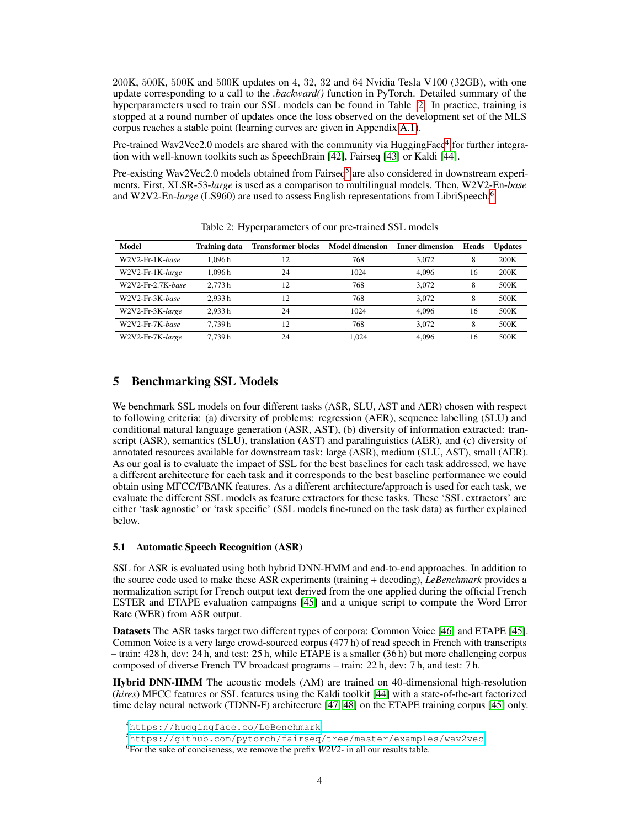200K, 500K, 500K and 500K updates on 4, 32, 32 and 64 Nvidia Tesla V100 (32GB), with one update corresponding to a call to the *.backward()* function in PyTorch. Detailed summary of the hyperparameters used to train our SSL models can be found in Table [2.](#page-3-0) In practice, training is stopped at a round number of updates once the loss observed on the development set of the MLS corpus reaches a stable point (learning curves are given in Appendix A.1).

Pre-trained Wav2Vec2.0 models are shared with the community via HuggingFace<sup>[4](#page-3-1)</sup> for further integration with well-known toolkits such as SpeechBrain [\[42\]](#page-12-7), Fairseq [\[43\]](#page-12-8) or Kaldi [\[44\]](#page-12-9).

Pre-existing Wav2Vec2.0 models obtained from Fairseq<sup>[5](#page-3-2)</sup> are also considered in downstream experiments. First, XLSR-53-*large* is used as a comparison to multilingual models. Then, W2V2-En-*base* and W2V2-En-*large* (LS9[6](#page-3-3)0) are used to assess English representations from LibriSpeech.<sup>6</sup>

<span id="page-3-0"></span>

| Model             | <b>Training data</b> | <b>Transformer blocks</b> | <b>Model dimension</b> | <b>Inner dimension</b> | <b>Heads</b> | <b>Updates</b> |
|-------------------|----------------------|---------------------------|------------------------|------------------------|--------------|----------------|
| W2V2-Fr-1K-base   | 1.096 h              | 12                        | 768                    | 3.072                  | 8            | 200K           |
| W2V2-Fr-1K-large  | 1.096 h              | 24                        | 1024                   | 4.096                  | 16           | 200K           |
| W2V2-Fr-2.7K-base | 2.773h               | 12                        | 768                    | 3.072                  | 8            | 500K           |
| W2V2-Fr-3K-base   | 2.933h               | 12                        | 768                    | 3.072                  | 8            | 500K           |
| W2V2-Fr-3K-large  | 2.933h               | 24                        | 1024                   | 4.096                  | 16           | 500K           |
| W2V2-Fr-7K-base   | 7.739 h              | 12                        | 768                    | 3.072                  | 8            | 500K           |
| W2V2-Fr-7K-large  | 7.739h               | 24                        | 1.024                  | 4.096                  | 16           | 500K           |

Table 2: Hyperparameters of our pre-trained SSL models

## 5 Benchmarking SSL Models

We benchmark SSL models on four different tasks (ASR, SLU, AST and AER) chosen with respect to following criteria: (a) diversity of problems: regression (AER), sequence labelling (SLU) and conditional natural language generation (ASR, AST), (b) diversity of information extracted: transcript (ASR), semantics (SLU), translation (AST) and paralinguistics (AER), and (c) diversity of annotated resources available for downstream task: large (ASR), medium (SLU, AST), small (AER). As our goal is to evaluate the impact of SSL for the best baselines for each task addressed, we have a different architecture for each task and it corresponds to the best baseline performance we could obtain using MFCC/FBANK features. As a different architecture/approach is used for each task, we evaluate the different SSL models as feature extractors for these tasks. These 'SSL extractors' are either 'task agnostic' or 'task specific' (SSL models fine-tuned on the task data) as further explained below.

#### 5.1 Automatic Speech Recognition (ASR)

SSL for ASR is evaluated using both hybrid DNN-HMM and end-to-end approaches. In addition to the source code used to make these ASR experiments (training + decoding), *LeBenchmark* provides a normalization script for French output text derived from the one applied during the official French ESTER and ETAPE evaluation campaigns [\[45\]](#page-12-10) and a unique script to compute the Word Error Rate (WER) from ASR output.

Datasets The ASR tasks target two different types of corpora: Common Voice [\[46\]](#page-12-11) and ETAPE [\[45\]](#page-12-10). Common Voice is a very large crowd-sourced corpus (477 h) of read speech in French with transcripts – train: 428 h, dev: 24 h, and test: 25 h, while ETAPE is a smaller (36 h) but more challenging corpus composed of diverse French TV broadcast programs – train: 22 h, dev: 7 h, and test: 7 h.

Hybrid DNN-HMM The acoustic models (AM) are trained on 40-dimensional high-resolution (*hires*) MFCC features or SSL features using the Kaldi toolkit [\[44\]](#page-12-9) with a state-of-the-art factorized time delay neural network (TDNN-F) architecture [\[47,](#page-12-12) [48\]](#page-12-13) on the ETAPE training corpus [\[45\]](#page-12-10) only.

<span id="page-3-1"></span><sup>4</sup><https://huggingface.co/LeBenchmark>

<span id="page-3-2"></span><sup>5</sup><https://github.com/pytorch/fairseq/tree/master/examples/wav2vec>

<span id="page-3-3"></span><sup>6</sup> For the sake of conciseness, we remove the prefix *W2V2-* in all our results table.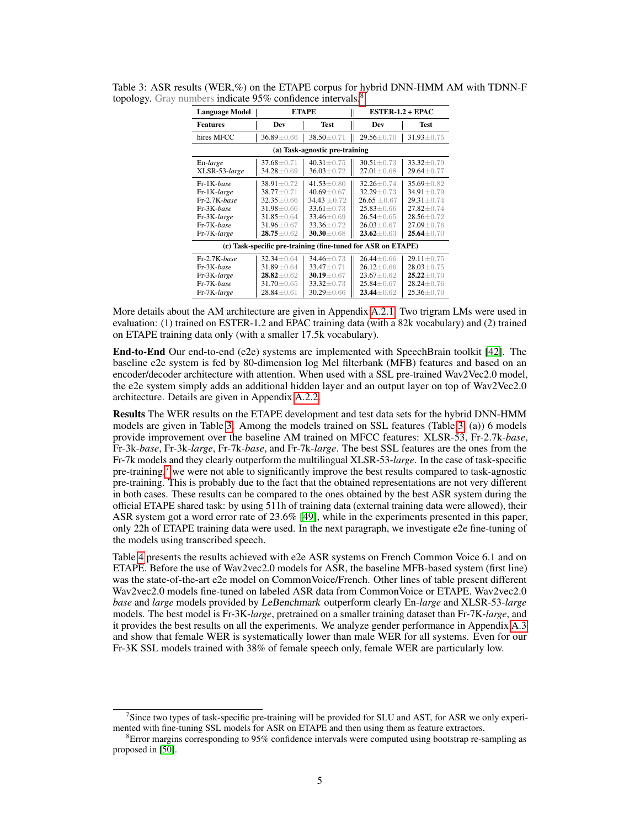| <b>Language Model</b>                                                                                  |                                                                                                                                        | <b>ETAPE</b>                                                                                                                   | $ESTER-1.2 + EPAC$ |                                                                                                                                  |                                                                                                                                    |  |
|--------------------------------------------------------------------------------------------------------|----------------------------------------------------------------------------------------------------------------------------------------|--------------------------------------------------------------------------------------------------------------------------------|--------------------|----------------------------------------------------------------------------------------------------------------------------------|------------------------------------------------------------------------------------------------------------------------------------|--|
| Features                                                                                               | Dev                                                                                                                                    | <b>Test</b>                                                                                                                    |                    | Dev                                                                                                                              | Test                                                                                                                               |  |
| hires MFCC                                                                                             | $36.89 \pm 0.66$                                                                                                                       | 38.50 ± 0.71                                                                                                                   |                    | $29.56 \pm 0.70$                                                                                                                 | $31.93 \pm 0.75$                                                                                                                   |  |
|                                                                                                        |                                                                                                                                        | (a) Task-agnostic pre-training                                                                                                 |                    |                                                                                                                                  |                                                                                                                                    |  |
| En-large<br>XLSR-53-large                                                                              | $37.68 \pm 0.71$<br>$34.28 \pm 0.69$                                                                                                   | $40.31 \pm 0.75$<br>$36.03 \pm 0.72$                                                                                           |                    | $30.51 \pm 0.73$<br>$27.01 \pm 0.68$                                                                                             | $33.32 \pm 0.79$<br>$29.64 \pm 0.77$                                                                                               |  |
| Fr-1K-base<br>Fr-1K-large<br>$Fr-2.7K$ -base<br>Fr-3K-base<br>Fr-3K-large<br>Fr-7K-base<br>Fr-7K-large | $38.91 \pm 0.72$<br>$38.77 + 0.71$<br>$32.35 \pm 0.66$<br>$31.98 \pm 0.66$<br>$31.85 \pm 0.64$<br>$31.96 \pm 0.67$<br>$28.75 \pm 0.62$ | $41.53 + 0.80$<br>$40.69 + 0.67$<br>$34.43 + 0.72$<br>$33.61 + 0.73$<br>$33.46 \pm 0.69$<br>$33.36 + 0.72$<br>$30.30 \pm 0.68$ |                    | $32.26 + 0.74$<br>$32.29 + 0.73$<br>$26.65 \pm 0.67$<br>$25.83 + 0.66$<br>$26.54 \pm 0.65$<br>$26.03 + 0.67$<br>$23.62 \pm 0.63$ | $35.69 \pm 0.82$<br>$34.91 \pm 0.79$<br>$29.31 \pm 0.74$<br>$27.82 + 0.74$<br>$28.56 \pm 0.72$<br>$27.09 + 0.76$<br>$25.64 + 0.70$ |  |
|                                                                                                        |                                                                                                                                        | (c) Task-specific pre-training (fine-tuned for ASR on ETAPE)                                                                   |                    |                                                                                                                                  |                                                                                                                                    |  |
| $Fr-2.7K$ -base<br>Fr-3K-base<br>Fr-3K-large<br>Fr-7K-base<br>Fr-7K-large                              | $32.34 + 0.64$<br>$31.89 \pm 0.64$<br>$28.82 \pm 0.62$<br>$31.70 \pm 0.65$<br>$28.84 \pm 0.61$                                         | $34.46 + 0.73$<br>$33.47 + 0.71$<br>$30.19 \pm 0.67$<br>$33.32 \pm 0.73$<br>$30.29 \pm 0.66$                                   |                    | $26.44 + 0.66$<br>$26.12 \pm 0.66$<br>$23.67 \pm 0.62$<br>$25.84 \pm 0.67$<br>$23.44 \pm 0.62$                                   | $29.11 \pm 0.75$<br>$28.03 + 0.75$<br>$25.22 + 0.70$<br>$28.24 \pm 0.76$<br>$25.36 \pm 0.70$                                       |  |

<span id="page-4-1"></span>Table 3: ASR results (WER,%) on the ETAPE corpus for hybrid DNN-HMM AM with TDNN-F topology. Gray numbers indicate 95% confidence intervals.<sup>[8](#page-4-0)</sup>

More details about the AM architecture are given in Appendix A.2.1. Two trigram LMs were used in evaluation: (1) trained on ESTER-1.2 and EPAC training data (with a 82k vocabulary) and (2) trained on ETAPE training data only (with a smaller 17.5k vocabulary).

End-to-End Our end-to-end (e2e) systems are implemented with SpeechBrain toolkit [\[42\]](#page-12-7). The baseline e2e system is fed by 80-dimension log Mel filterbank (MFB) features and based on an encoder/decoder architecture with attention. When used with a SSL pre-trained Wav2Vec2.0 model, the e2e system simply adds an additional hidden layer and an output layer on top of Wav2Vec2.0 architecture. Details are given in Appendix A.2.2.

Results The WER results on the ETAPE development and test data sets for the hybrid DNN-HMM models are given in Table [3.](#page-4-1) Among the models trained on SSL features (Table [3,](#page-4-1) (a)) 6 models provide improvement over the baseline AM trained on MFCC features: XLSR-53, Fr-2.7k-*base*, Fr-3k-*base*, Fr-3k-*large*, Fr-7k-*base*, and Fr-7k-*large*. The best SSL features are the ones from the Fr-7k models and they clearly outperform the multilingual XLSR-53-*large*. In the case of task-specific pre-training,<sup>[7](#page-4-2)</sup> we were not able to significantly improve the best results compared to task-agnostic pre-training. This is probably due to the fact that the obtained representations are not very different in both cases. These results can be compared to the ones obtained by the best ASR system during the official ETAPE shared task: by using 511h of training data (external training data were allowed), their ASR system got a word error rate of 23.6% [\[49\]](#page-12-14), while in the experiments presented in this paper, only 22h of ETAPE training data were used. In the next paragraph, we investigate e2e fine-tuning of the models using transcribed speech.

Table [4](#page-5-0) presents the results achieved with e2e ASR systems on French Common Voice 6.1 and on ETAPE. Before the use of Wav2vec2.0 models for ASR, the baseline MFB-based system (first line) was the state-of-the-art e2e model on CommonVoice/French. Other lines of table present different Wav2vec2.0 models fine-tuned on labeled ASR data from CommonVoice or ETAPE. Wav2vec2.0 *base* and *large* models provided by LeBenchmark outperform clearly En-*large* and XLSR-53-*large* models. The best model is Fr-3K-*large*, pretrained on a smaller training dataset than Fr-7K-*large*, and it provides the best results on all the experiments. We analyze gender performance in Appendix A.3 and show that female WER is systematically lower than male WER for all systems. Even for our Fr-3K SSL models trained with 38% of female speech only, female WER are particularly low.

<span id="page-4-2"></span><sup>&</sup>lt;sup>7</sup>Since two types of task-specific pre-training will be provided for SLU and AST, for ASR we only experimented with fine-tuning SSL models for ASR on ETAPE and then using them as feature extractors.

<span id="page-4-0"></span><sup>8</sup>Error margins corresponding to 95% confidence intervals were computed using bootstrap re-sampling as proposed in [\[50\]](#page-13-0).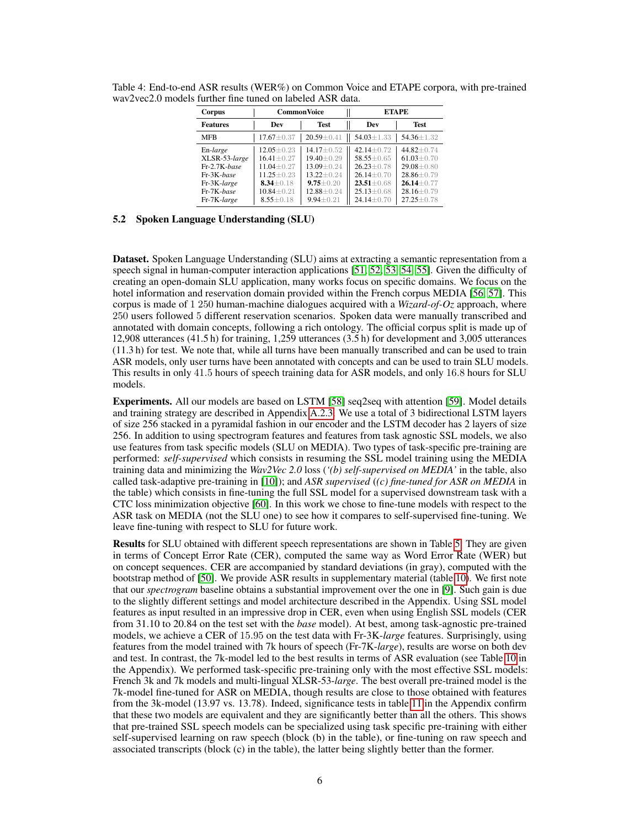| Corpus          | <b>Common Voice</b> |                  |  | <b>ETAPE</b>     |                  |  |
|-----------------|---------------------|------------------|--|------------------|------------------|--|
| <b>Features</b> | Dev                 | <b>Test</b>      |  | Dev              | <b>Test</b>      |  |
| <b>MFB</b>      | $17.67 \pm 0.37$    | $20.59 \pm 0.41$ |  | $54.03 \pm 1.33$ | 54.36±1.32       |  |
| En-large        | $12.05 \pm 0.23$    | $14.17 \pm 0.52$ |  | $42.14 + 0.72$   | $44.82 + 0.74$   |  |
| XLSR-53-large   | $16.41 + 0.27$      | $19.40 + 0.29$   |  | $58.55 \pm 0.65$ | $61.03 \pm 0.70$ |  |
| Fr-2.7K-base    | $11.04 + 0.27$      | $13.09 \pm 0.24$ |  | $26.23 \pm 0.78$ | $29.08 + 0.80$   |  |
| Fr-3K-base      | $11.25 \pm 0.23$    | $13.22 + 0.24$   |  | $26.14 \pm 0.70$ | $28.86 \pm 0.79$ |  |
| Fr-3K-large     | $8.34 + 0.18$       | $9.75 + 0.20$    |  | $23.51 \pm 0.68$ | $26.14 + 0.77$   |  |
| Fr-7K-base      | $10.84 \pm 0.21$    | 12.88±0.24       |  | $25.13 \pm 0.68$ | $28.16 \pm 0.79$ |  |
| Fr-7K-large     | $8.55 \pm 0.18$     | $9.94 \pm 0.21$  |  | $24.14 \pm 0.70$ | $27.25 + 0.78$   |  |

<span id="page-5-0"></span>Table 4: End-to-end ASR results (WER%) on Common Voice and ETAPE corpora, with pre-trained wav2vec2.0 models further fine tuned on labeled ASR data.

#### 5.2 Spoken Language Understanding (SLU)

Dataset. Spoken Language Understanding (SLU) aims at extracting a semantic representation from a speech signal in human-computer interaction applications [\[51,](#page-13-1) [52,](#page-13-2) [53,](#page-13-3) [54,](#page-13-4) [55\]](#page-13-5). Given the difficulty of creating an open-domain SLU application, many works focus on specific domains. We focus on the hotel information and reservation domain provided within the French corpus MEDIA [\[56,](#page-13-6) [57\]](#page-13-7). This corpus is made of 1 250 human-machine dialogues acquired with a *Wizard-of-Oz* approach, where 250 users followed 5 different reservation scenarios. Spoken data were manually transcribed and annotated with domain concepts, following a rich ontology. The official corpus split is made up of 12,908 utterances (41.5 h) for training, 1,259 utterances (3.5 h) for development and 3,005 utterances (11.3 h) for test. We note that, while all turns have been manually transcribed and can be used to train ASR models, only user turns have been annotated with concepts and can be used to train SLU models. This results in only 41.5 hours of speech training data for ASR models, and only 16.8 hours for SLU models.

Experiments. All our models are based on LSTM [\[58\]](#page-13-8) seq2seq with attention [\[59\]](#page-13-9). Model details and training strategy are described in Appendix A.2.3. We use a total of 3 bidirectional LSTM layers of size 256 stacked in a pyramidal fashion in our encoder and the LSTM decoder has 2 layers of size 256. In addition to using spectrogram features and features from task agnostic SSL models, we also use features from task specific models (SLU on MEDIA). Two types of task-specific pre-training are performed: *self-supervised* which consists in resuming the SSL model training using the MEDIA training data and minimizing the *Wav2Vec 2.0* loss (*'(b) self-supervised on MEDIA'* in the table, also called task-adaptive pre-training in [\[10\]](#page-10-6)); and *ASR supervised* (*(c) fine-tuned for ASR on MEDIA* in the table) which consists in fine-tuning the full SSL model for a supervised downstream task with a CTC loss minimization objective [\[60\]](#page-13-10). In this work we chose to fine-tune models with respect to the ASR task on MEDIA (not the SLU one) to see how it compares to self-supervised fine-tuning. We leave fine-tuning with respect to SLU for future work.

Results for SLU obtained with different speech representations are shown in Table [5.](#page-6-0) They are given in terms of Concept Error Rate (CER), computed the same way as Word Error Rate (WER) but on concept sequences. CER are accompanied by standard deviations (in gray), computed with the bootstrap method of [\[50\]](#page-13-0). We provide ASR results in supplementary material (table 10). We first note that our *spectrogram* baseline obtains a substantial improvement over the one in [\[9\]](#page-10-5). Such gain is due to the slightly different settings and model architecture described in the Appendix. Using SSL model features as input resulted in an impressive drop in CER, even when using English SSL models (CER from 31.10 to 20.84 on the test set with the *base* model). At best, among task-agnostic pre-trained models, we achieve a CER of 15.95 on the test data with Fr-3K-*large* features. Surprisingly, using features from the model trained with 7k hours of speech (Fr-7K-*large*), results are worse on both dev and test. In contrast, the 7k-model led to the best results in terms of ASR evaluation (see Table 10 in the Appendix). We performed task-specific pre-training only with the most effective SSL models: French 3k and 7k models and multi-lingual XLSR-53-*large*. The best overall pre-trained model is the 7k-model fine-tuned for ASR on MEDIA, though results are close to those obtained with features from the 3k-model (13.97 vs. 13.78). Indeed, significance tests in table 11 in the Appendix confirm that these two models are equivalent and they are significantly better than all the others. This shows that pre-trained SSL speech models can be specialized using task specific pre-training with either self-supervised learning on raw speech (block (b) in the table), or fine-tuning on raw speech and associated transcripts (block (c) in the table), the latter being slightly better than the former.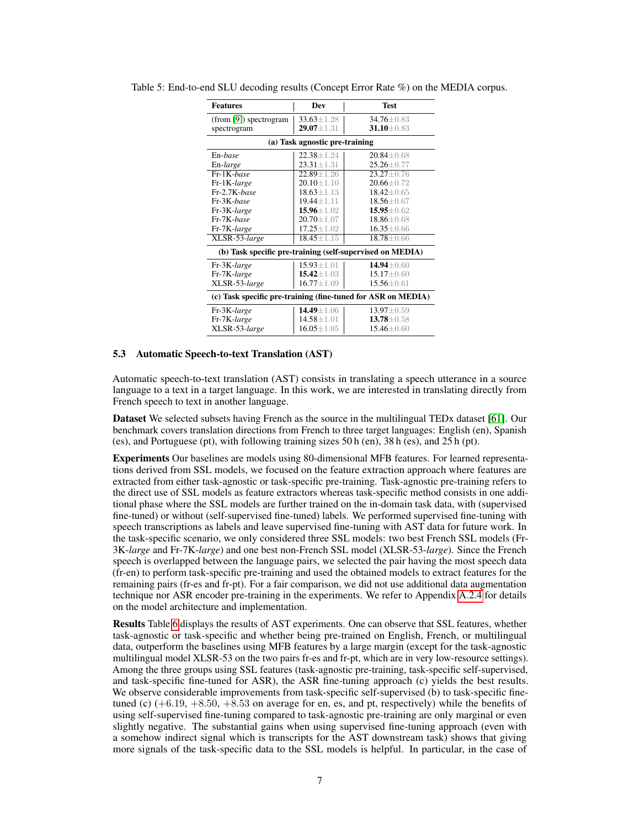| <b>Features</b>                                              | Dev              | <b>Test</b>                                               |  |  |  |  |  |  |
|--------------------------------------------------------------|------------------|-----------------------------------------------------------|--|--|--|--|--|--|
| (from [9]) spectrogram                                       | $33.63 \pm 1.28$ | $34.76 \pm 0.83$                                          |  |  |  |  |  |  |
| spectrogram                                                  | $29.07 \pm 1.31$ | $31.10 \pm 0.83$                                          |  |  |  |  |  |  |
| (a) Task agnostic pre-training                               |                  |                                                           |  |  |  |  |  |  |
| En-base                                                      | $22.38 + 1.24$   | $20.84 + 0.68$                                            |  |  |  |  |  |  |
| En-large                                                     | $23.31 \pm 1.31$ | $25.26 \pm 0.77$                                          |  |  |  |  |  |  |
| Fr-1K-base                                                   | $22.89 + 1.26$   | $23.27 \pm 0.76$                                          |  |  |  |  |  |  |
| Fr-1K-large                                                  | $20.10 \pm 1.10$ | $20.66 \pm 0.72$                                          |  |  |  |  |  |  |
| Fr-2.7K-base                                                 | $18.63 \pm 1.13$ | $18.42 \pm 0.65$                                          |  |  |  |  |  |  |
| Fr-3K-base                                                   | $19.44 \pm 1.11$ | $18.56 \pm 0.67$                                          |  |  |  |  |  |  |
| Fr-3K-large                                                  | $15.96 \pm 1.02$ | $15.95 \pm 0.62$                                          |  |  |  |  |  |  |
| Fr-7K-base                                                   | $20.70 \pm 1.07$ | 18.86±0.68                                                |  |  |  |  |  |  |
| Fr-7K-large                                                  | $17.25 \pm 1.02$ | $16.35 \pm 0.66$                                          |  |  |  |  |  |  |
| XLSR-53-large                                                | $18.45 \pm 1.15$ | $18.78 \pm 0.66$                                          |  |  |  |  |  |  |
|                                                              |                  | (b) Task specific pre-training (self-supervised on MEDIA) |  |  |  |  |  |  |
| Fr-3K-large                                                  | $15.93 \pm 1.01$ | $14.94 \pm 0.60$                                          |  |  |  |  |  |  |
| Fr-7K-large                                                  | $15.42 \pm 1.03$ | $15.17 \pm 0.60$                                          |  |  |  |  |  |  |
| XLSR-53-large                                                | $16.77 \pm 1.09$ | $15.56 \pm 0.61$                                          |  |  |  |  |  |  |
| (c) Task specific pre-training (fine-tuned for ASR on MEDIA) |                  |                                                           |  |  |  |  |  |  |
| Fr-3K-large                                                  | $14.49 \pm 1.06$ | $13.97 \pm 0.59$                                          |  |  |  |  |  |  |
| Fr-7K-large                                                  | $14.58 \pm 1.01$ | $13.78 \pm 0.58$                                          |  |  |  |  |  |  |
| XLSR-53-large                                                | $16.05 \pm 1.05$ | $15.46 \pm 0.60$                                          |  |  |  |  |  |  |

<span id="page-6-0"></span>Table 5: End-to-end SLU decoding results (Concept Error Rate %) on the MEDIA corpus.

#### 5.3 Automatic Speech-to-text Translation (AST)

Automatic speech-to-text translation (AST) consists in translating a speech utterance in a source language to a text in a target language. In this work, we are interested in translating directly from French speech to text in another language.

Dataset We selected subsets having French as the source in the multilingual TEDx dataset [\[61\]](#page-13-11). Our benchmark covers translation directions from French to three target languages: English (en), Spanish (es), and Portuguese (pt), with following training sizes 50 h (en), 38 h (es), and 25 h (pt).

Experiments Our baselines are models using 80-dimensional MFB features. For learned representations derived from SSL models, we focused on the feature extraction approach where features are extracted from either task-agnostic or task-specific pre-training. Task-agnostic pre-training refers to the direct use of SSL models as feature extractors whereas task-specific method consists in one additional phase where the SSL models are further trained on the in-domain task data, with (supervised fine-tuned) or without (self-supervised fine-tuned) labels. We performed supervised fine-tuning with speech transcriptions as labels and leave supervised fine-tuning with AST data for future work. In the task-specific scenario, we only considered three SSL models: two best French SSL models (Fr-3K-*large* and Fr-7K-*large*) and one best non-French SSL model (XLSR-53-*large*). Since the French speech is overlapped between the language pairs, we selected the pair having the most speech data (fr-en) to perform task-specific pre-training and used the obtained models to extract features for the remaining pairs (fr-es and fr-pt). For a fair comparison, we did not use additional data augmentation technique nor ASR encoder pre-training in the experiments. We refer to Appendix A.2.4 for details on the model architecture and implementation.

Results Table [6](#page-7-0) displays the results of AST experiments. One can observe that SSL features, whether task-agnostic or task-specific and whether being pre-trained on English, French, or multilingual data, outperform the baselines using MFB features by a large margin (except for the task-agnostic multilingual model XLSR-53 on the two pairs fr-es and fr-pt, which are in very low-resource settings). Among the three groups using SSL features (task-agnostic pre-training, task-specific self-supervised, and task-specific fine-tuned for ASR), the ASR fine-tuning approach (c) yields the best results. We observe considerable improvements from task-specific self-supervised (b) to task-specific finetuned (c)  $(+6.19, +8.50, +8.53$  on average for en, es, and pt, respectively) while the benefits of using self-supervised fine-tuning compared to task-agnostic pre-training are only marginal or even slightly negative. The substantial gains when using supervised fine-tuning approach (even with a somehow indirect signal which is transcripts for the AST downstream task) shows that giving more signals of the task-specific data to the SSL models is helpful. In particular, in the case of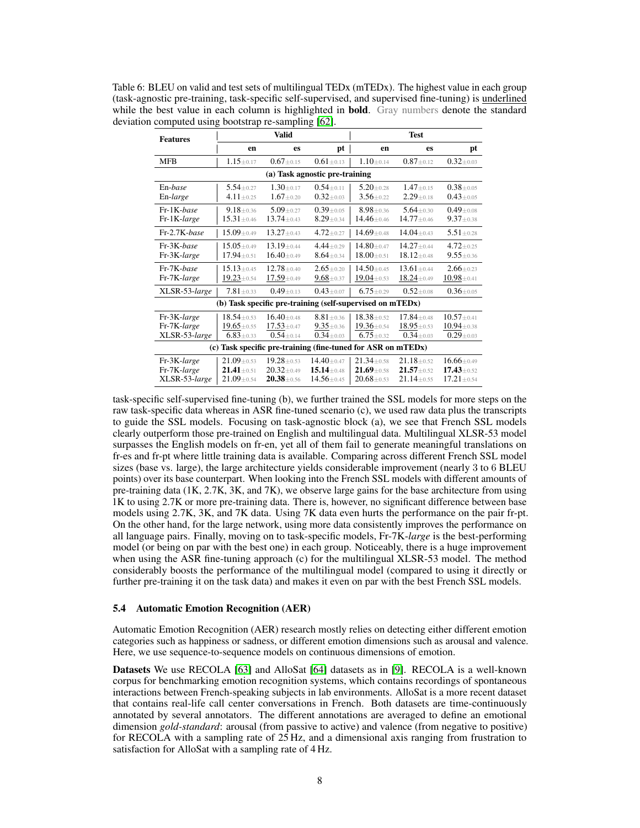<span id="page-7-0"></span>Table 6: BLEU on valid and test sets of multilingual TEDx (mTEDx). The highest value in each group (task-agnostic pre-training, task-specific self-supervised, and supervised fine-tuning) is underlined while the best value in each column is highlighted in **bold**. Gray numbers denote the standard deviation computed using bootstrap re-sampling [\[62\]](#page-13-12).

| <b>Features</b>                                              |                                                           | <b>Valid</b>                                         |                                                      | <b>Test</b>                                          |                                                        |                                                        |  |  |  |
|--------------------------------------------------------------|-----------------------------------------------------------|------------------------------------------------------|------------------------------------------------------|------------------------------------------------------|--------------------------------------------------------|--------------------------------------------------------|--|--|--|
|                                                              | en                                                        | es                                                   | pt                                                   | en                                                   | es                                                     | pt                                                     |  |  |  |
| <b>MFB</b>                                                   | $1.15 + 0.17$                                             | $0.67 \pm 0.15$                                      | $0.61 + 0.13$                                        | $1.10 + 0.14$                                        | $0.87 \pm 0.12$                                        | $0.32 \pm 0.03$                                        |  |  |  |
| (a) Task agnostic pre-training                               |                                                           |                                                      |                                                      |                                                      |                                                        |                                                        |  |  |  |
| En-base<br>En-large                                          | $5.54 + 0.27$<br>$4.11 \pm 0.25$                          | $1.30 + 0.17$<br>$1.67 \pm 0.20$                     | $0.54 + 0.11$<br>$0.32 + 0.03$                       | $5.20 + 0.28$<br>$3.56 \pm 0.22$                     | $1.47 \pm 0.15$<br>$2.29 \pm 0.18$                     | $0.38 + 0.05$<br>$0.43 + 0.05$                         |  |  |  |
| Fr-1K-base<br>Fr-1K-large                                    | $9.18 + 0.36$<br>$15.31 \pm 0.46$                         | $5.09 + 0.27$<br>$13.74 \pm 0.43$                    | $0.39 + 0.05$<br>$8.29 + 0.34$                       | $8.98 + 0.36$<br>14.46±0.46                          | $5.64 + 0.30$<br>$14.77 + 0.46$                        | $0.49 + 0.08$<br>$9.37 + 0.38$                         |  |  |  |
| Fr-2.7K-base                                                 | $15.09 + 0.49$                                            | $13.27 + 0.43$                                       | $4.72 \pm 0.27$                                      | $14.69 + 0.48$                                       | $14.04 + 0.43$                                         | $5.51 + 0.28$                                          |  |  |  |
| Fr-3K-base<br>Fr-3K-large                                    | $15.05 + 0.49$<br>17.94±0.51                              | $13.19 + 0.44$<br>$16.40 \pm 0.49$                   | $4.44 + 0.29$<br>$8.64 \pm 0.34$                     | $14.80 + 0.47$<br>$18.00 \pm 0.51$                   | $14.27 + 0.44$<br>$18.12 \pm 0.48$                     | $4.72 + 0.25$<br>$9.55 + 0.36$                         |  |  |  |
| Fr-7K-base<br>Fr-7K-large                                    | $15.13 + 0.45$<br>$19.23 \pm 0.54$                        | $12.78 + 0.40$<br>$17.59 \pm 0.49$                   | $2.65 + 0.20$<br>$9.68 \pm 0.37$                     | $14.50 + 0.45$<br>$19.04 \pm 0.53$                   | $13.61 + 0.44$<br>$18.24 \pm 0.49$                     | $2.66 + 0.23$<br>$10.98 \pm 0.41$                      |  |  |  |
| XLSR-53-large                                                | $7.81 \pm 0.33$                                           | $0.49 + 0.13$                                        | $0.43 + 0.07$                                        | $6.75 + 0.29$                                        | $0.52 + 0.08$                                          | $0.36 + 0.05$                                          |  |  |  |
|                                                              | (b) Task specific pre-training (self-supervised on mTEDx) |                                                      |                                                      |                                                      |                                                        |                                                        |  |  |  |
| Fr-3K-large<br>Fr-7K-large<br>XLSR-53-large                  | $18.54 + 0.53$<br>$19.65 \pm 0.55$<br>$6.83 \pm 0.33$     | $16.40 + 0.48$<br>$17.53 \pm 0.47$<br>$0.54 + 0.14$  | $8.81 + 0.36$<br>$9.35 \pm 0.36$<br>$0.34 + 0.03$    | $18.38 + 0.52$<br>19.36±0.54<br>$6.75 \pm 0.32$      | $17.84 + 0.48$<br>$18.95 \pm 0.53$<br>$0.34 + 0.03$    | $10.57 + 0.41$<br>$10.94 \pm 0.38$<br>$0.29 + 0.03$    |  |  |  |
| (c) Task specific pre-training (fine-tuned for ASR on mTEDx) |                                                           |                                                      |                                                      |                                                      |                                                        |                                                        |  |  |  |
| Fr-3K-large<br>Fr-7K-large<br>XLSR-53-large                  | $21.09 + 0.53$<br>$21.41 \pm 0.51$<br>$21.09 + 0.54$      | $19.28 + 0.53$<br>$20.32 \pm 0.49$<br>$20.38 + 0.56$ | $14.40 + 0.47$<br>$15.14 + 0.48$<br>$14.56 \pm 0.45$ | $21.34 + 0.58$<br>$21.69 \pm 0.58$<br>$20.68 + 0.53$ | $21.18 + 0.52$<br>$21.57 \pm 0.52$<br>$21.14 \pm 0.55$ | $16.66 + 0.49$<br>$17.43 \pm 0.52$<br>$17.21 \pm 0.54$ |  |  |  |

task-specific self-supervised fine-tuning (b), we further trained the SSL models for more steps on the raw task-specific data whereas in ASR fine-tuned scenario (c), we used raw data plus the transcripts to guide the SSL models. Focusing on task-agnostic block (a), we see that French SSL models clearly outperform those pre-trained on English and multilingual data. Multilingual XLSR-53 model surpasses the English models on fr-en, yet all of them fail to generate meaningful translations on fr-es and fr-pt where little training data is available. Comparing across different French SSL model sizes (base vs. large), the large architecture yields considerable improvement (nearly 3 to 6 BLEU points) over its base counterpart. When looking into the French SSL models with different amounts of pre-training data (1K, 2.7K, 3K, and 7K), we observe large gains for the base architecture from using 1K to using 2.7K or more pre-training data. There is, however, no significant difference between base models using 2.7K, 3K, and 7K data. Using 7K data even hurts the performance on the pair fr-pt. On the other hand, for the large network, using more data consistently improves the performance on all language pairs. Finally, moving on to task-specific models, Fr-7K-*large* is the best-performing model (or being on par with the best one) in each group. Noticeably, there is a huge improvement when using the ASR fine-tuning approach (c) for the multilingual XLSR-53 model. The method considerably boosts the performance of the multilingual model (compared to using it directly or further pre-training it on the task data) and makes it even on par with the best French SSL models.

#### 5.4 Automatic Emotion Recognition (AER)

Automatic Emotion Recognition (AER) research mostly relies on detecting either different emotion categories such as happiness or sadness, or different emotion dimensions such as arousal and valence. Here, we use sequence-to-sequence models on continuous dimensions of emotion.

Datasets We use RECOLA [\[63\]](#page-13-13) and AlloSat [\[64\]](#page-13-14) datasets as in [\[9\]](#page-10-5). RECOLA is a well-known corpus for benchmarking emotion recognition systems, which contains recordings of spontaneous interactions between French-speaking subjects in lab environments. AlloSat is a more recent dataset that contains real-life call center conversations in French. Both datasets are time-continuously annotated by several annotators. The different annotations are averaged to define an emotional dimension *gold-standard*: arousal (from passive to active) and valence (from negative to positive) for RECOLA with a sampling rate of 25 Hz, and a dimensional axis ranging from frustration to satisfaction for AlloSat with a sampling rate of 4 Hz.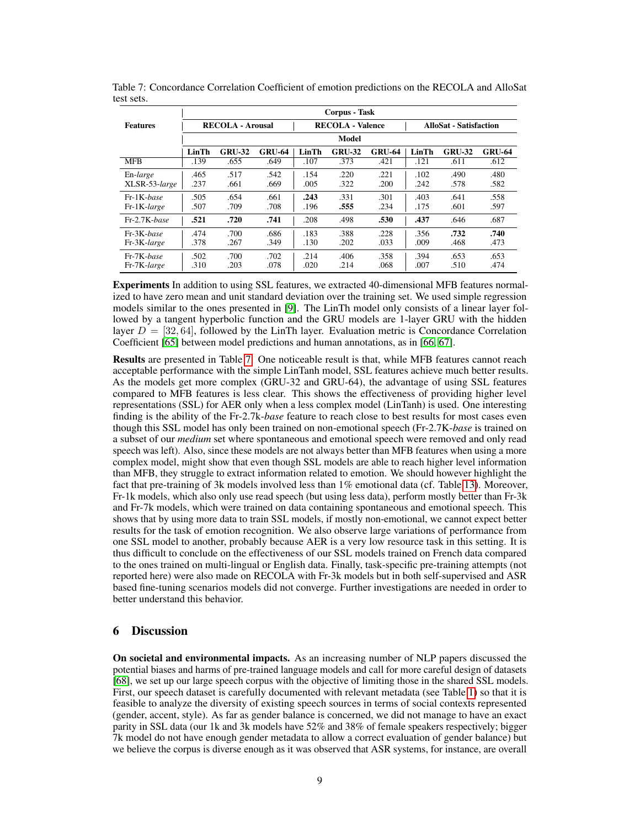|                 | Corpus - Task |                         |               |                         |               |               |                               |               |               |  |
|-----------------|---------------|-------------------------|---------------|-------------------------|---------------|---------------|-------------------------------|---------------|---------------|--|
| <b>Features</b> |               | <b>RECOLA - Arousal</b> |               | <b>RECOLA - Valence</b> |               |               | <b>AlloSat - Satisfaction</b> |               |               |  |
|                 | Model         |                         |               |                         |               |               |                               |               |               |  |
|                 | LinTh         | <b>GRU-32</b>           | <b>GRU-64</b> | LinTh                   | <b>GRU-32</b> | <b>GRU-64</b> | LinTh                         | <b>GRU-32</b> | <b>GRU-64</b> |  |
| <b>MFB</b>      | .139          | .655                    | .649          | .107                    | .373          | .421          | .121                          | .611          | .612          |  |
| En-large        | .465          | .517                    | .542          | .154                    | .220          | .221          | .102                          | .490          | .480          |  |
| XLSR-53-large   | .237          | .661                    | .669          | .005                    | .322          | .200          | .242                          | .578          | .582          |  |
| Fr-1K-base      | .505          | .654                    | .661          | .243                    | .331          | .301          | .403                          | .641          | .558          |  |
| Fr-1K-large     | .507          | .709                    | .708          | .196                    | .555          | .234          | .175                          | .601          | .597          |  |
| Fr-2.7K-base    | .521          | .720                    | .741          | .208                    | .498          | .530          | .437                          | .646          | .687          |  |
| Fr-3K-base      | .474          | .700                    | .686          | .183                    | .388          | .228          | .356                          | .732          | .740          |  |
| Fr-3K-large     | .378          | .267                    | .349          | .130                    | .202          | .033          | .009                          | .468          | .473          |  |
| Fr-7K-base      | .502          | .700                    | .702          | .214                    | .406          | .358          | .394                          | .653          | .653          |  |
| Fr-7K-large     | .310          | .203                    | .078          | .020                    | .214          | .068          | .007                          | .510          | .474          |  |

<span id="page-8-0"></span>Table 7: Concordance Correlation Coefficient of emotion predictions on the RECOLA and AlloSat test sets.

Experiments In addition to using SSL features, we extracted 40-dimensional MFB features normalized to have zero mean and unit standard deviation over the training set. We used simple regression models similar to the ones presented in [\[9\]](#page-10-5). The LinTh model only consists of a linear layer followed by a tangent hyperbolic function and the GRU models are 1-layer GRU with the hidden layer  $D = [32, 64]$ , followed by the LinTh layer. Evaluation metric is Concordance Correlation Coefficient [\[65\]](#page-13-15) between model predictions and human annotations, as in [\[66,](#page-13-16) [67\]](#page-14-0).

Results are presented in Table [7.](#page-8-0) One noticeable result is that, while MFB features cannot reach acceptable performance with the simple LinTanh model, SSL features achieve much better results. As the models get more complex (GRU-32 and GRU-64), the advantage of using SSL features compared to MFB features is less clear. This shows the effectiveness of providing higher level representations (SSL) for AER only when a less complex model (LinTanh) is used. One interesting finding is the ability of the Fr-2.7k-*base* feature to reach close to best results for most cases even though this SSL model has only been trained on non-emotional speech (Fr-2.7K-*base* is trained on a subset of our *medium* set where spontaneous and emotional speech were removed and only read speech was left). Also, since these models are not always better than MFB features when using a more complex model, might show that even though SSL models are able to reach higher level information than MFB, they struggle to extract information related to emotion. We should however highlight the fact that pre-training of 3k models involved less than 1% emotional data (cf. Table 13). Moreover, Fr-1k models, which also only use read speech (but using less data), perform mostly better than Fr-3k and Fr-7k models, which were trained on data containing spontaneous and emotional speech. This shows that by using more data to train SSL models, if mostly non-emotional, we cannot expect better results for the task of emotion recognition. We also observe large variations of performance from one SSL model to another, probably because AER is a very low resource task in this setting. It is thus difficult to conclude on the effectiveness of our SSL models trained on French data compared to the ones trained on multi-lingual or English data. Finally, task-specific pre-training attempts (not reported here) were also made on RECOLA with Fr-3k models but in both self-supervised and ASR based fine-tuning scenarios models did not converge. Further investigations are needed in order to better understand this behavior.

## 6 Discussion

On societal and environmental impacts. As an increasing number of NLP papers discussed the potential biases and harms of pre-trained language models and call for more careful design of datasets [\[68\]](#page-14-1), we set up our large speech corpus with the objective of limiting those in the shared SSL models. First, our speech dataset is carefully documented with relevant metadata (see Table [1\)](#page-2-0) so that it is feasible to analyze the diversity of existing speech sources in terms of social contexts represented (gender, accent, style). As far as gender balance is concerned, we did not manage to have an exact parity in SSL data (our 1k and 3k models have 52% and 38% of female speakers respectively; bigger 7k model do not have enough gender metadata to allow a correct evaluation of gender balance) but we believe the corpus is diverse enough as it was observed that ASR systems, for instance, are overall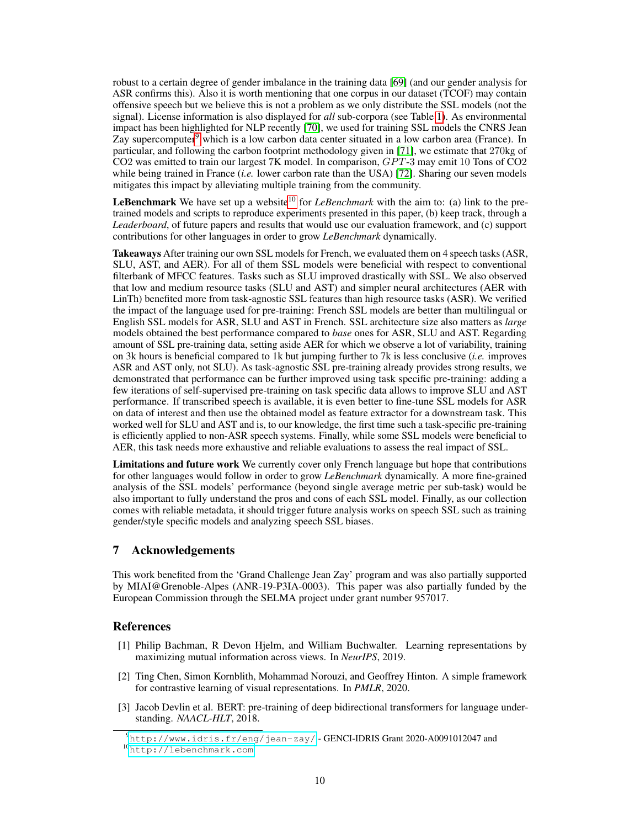robust to a certain degree of gender imbalance in the training data [\[69\]](#page-14-2) (and our gender analysis for ASR confirms this). Also it is worth mentioning that one corpus in our dataset (TCOF) may contain offensive speech but we believe this is not a problem as we only distribute the SSL models (not the signal). License information is also displayed for *all* sub-corpora (see Table [1\)](#page-2-0). As environmental impact has been highlighted for NLP recently [\[70\]](#page-14-3), we used for training SSL models the CNRS Jean Zay supercomputer $9$  which is a low carbon data center situated in a low carbon area (France). In particular, and following the carbon footprint methodology given in [\[71\]](#page-14-4), we estimate that 270kg of CO2 was emitted to train our largest 7K model. In comparison, GPT-3 may emit 10 Tons of CO2 while being trained in France (*i.e.* lower carbon rate than the USA) [\[72\]](#page-14-5). Sharing our seven models mitigates this impact by alleviating multiple training from the community.

**LeBenchmark** We have set up a website<sup>[10](#page-9-4)</sup> for *LeBenchmark* with the aim to: (a) link to the pretrained models and scripts to reproduce experiments presented in this paper, (b) keep track, through a *Leaderboard*, of future papers and results that would use our evaluation framework, and (c) support contributions for other languages in order to grow *LeBenchmark* dynamically.

Takeaways After training our own SSL models for French, we evaluated them on 4 speech tasks (ASR, SLU, AST, and AER). For all of them SSL models were beneficial with respect to conventional filterbank of MFCC features. Tasks such as SLU improved drastically with SSL. We also observed that low and medium resource tasks (SLU and AST) and simpler neural architectures (AER with LinTh) benefited more from task-agnostic SSL features than high resource tasks (ASR). We verified the impact of the language used for pre-training: French SSL models are better than multilingual or English SSL models for ASR, SLU and AST in French. SSL architecture size also matters as *large* models obtained the best performance compared to *base* ones for ASR, SLU and AST. Regarding amount of SSL pre-training data, setting aside AER for which we observe a lot of variability, training on 3k hours is beneficial compared to 1k but jumping further to 7k is less conclusive (*i.e.* improves ASR and AST only, not SLU). As task-agnostic SSL pre-training already provides strong results, we demonstrated that performance can be further improved using task specific pre-training: adding a few iterations of self-supervised pre-training on task specific data allows to improve SLU and AST performance. If transcribed speech is available, it is even better to fine-tune SSL models for ASR on data of interest and then use the obtained model as feature extractor for a downstream task. This worked well for SLU and AST and is, to our knowledge, the first time such a task-specific pre-training is efficiently applied to non-ASR speech systems. Finally, while some SSL models were beneficial to AER, this task needs more exhaustive and reliable evaluations to assess the real impact of SSL.

Limitations and future work We currently cover only French language but hope that contributions for other languages would follow in order to grow *LeBenchmark* dynamically. A more fine-grained analysis of the SSL models' performance (beyond single average metric per sub-task) would be also important to fully understand the pros and cons of each SSL model. Finally, as our collection comes with reliable metadata, it should trigger future analysis works on speech SSL such as training gender/style specific models and analyzing speech SSL biases.

# 7 Acknowledgements

This work benefited from the 'Grand Challenge Jean Zay' program and was also partially supported by MIAI@Grenoble-Alpes (ANR-19-P3IA-0003). This paper was also partially funded by the European Commission through the SELMA project under grant number 957017.

## **References**

- <span id="page-9-0"></span>[1] Philip Bachman, R Devon Hjelm, and William Buchwalter. Learning representations by maximizing mutual information across views. In *NeurIPS*, 2019.
- <span id="page-9-1"></span>[2] Ting Chen, Simon Kornblith, Mohammad Norouzi, and Geoffrey Hinton. A simple framework for contrastive learning of visual representations. In *PMLR*, 2020.
- <span id="page-9-2"></span>[3] Jacob Devlin et al. BERT: pre-training of deep bidirectional transformers for language understanding. *NAACL-HLT*, 2018.

<span id="page-9-4"></span><span id="page-9-3"></span> $9$ <http://www.idris.fr/eng/jean-zay/> - GENCI-IDRIS Grant 2020-A0091012047 and <sup>10</sup><http://lebenchmark.com>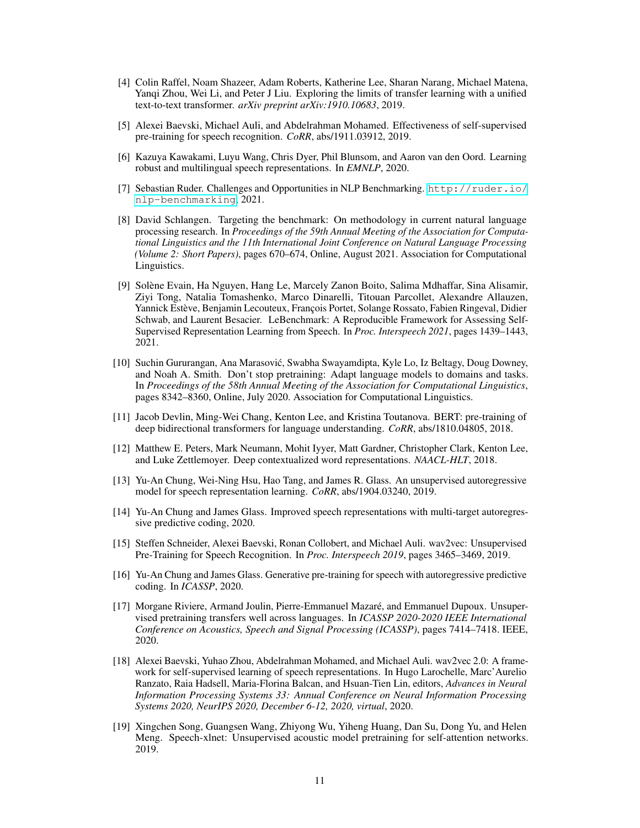- <span id="page-10-0"></span>[4] Colin Raffel, Noam Shazeer, Adam Roberts, Katherine Lee, Sharan Narang, Michael Matena, Yanqi Zhou, Wei Li, and Peter J Liu. Exploring the limits of transfer learning with a unified text-to-text transformer. *arXiv preprint arXiv:1910.10683*, 2019.
- <span id="page-10-1"></span>[5] Alexei Baevski, Michael Auli, and Abdelrahman Mohamed. Effectiveness of self-supervised pre-training for speech recognition. *CoRR*, abs/1911.03912, 2019.
- <span id="page-10-2"></span>[6] Kazuya Kawakami, Luyu Wang, Chris Dyer, Phil Blunsom, and Aaron van den Oord. Learning robust and multilingual speech representations. In *EMNLP*, 2020.
- <span id="page-10-3"></span>[7] Sebastian Ruder. Challenges and Opportunities in NLP Benchmarking. [http://ruder.io/](http://ruder.io/nlp-benchmarking) [nlp-benchmarking](http://ruder.io/nlp-benchmarking), 2021.
- <span id="page-10-4"></span>[8] David Schlangen. Targeting the benchmark: On methodology in current natural language processing research. In *Proceedings of the 59th Annual Meeting of the Association for Computational Linguistics and the 11th International Joint Conference on Natural Language Processing (Volume 2: Short Papers)*, pages 670–674, Online, August 2021. Association for Computational Linguistics.
- <span id="page-10-5"></span>[9] Solène Evain, Ha Nguyen, Hang Le, Marcely Zanon Boito, Salima Mdhaffar, Sina Alisamir, Ziyi Tong, Natalia Tomashenko, Marco Dinarelli, Titouan Parcollet, Alexandre Allauzen, Yannick Estève, Benjamin Lecouteux, François Portet, Solange Rossato, Fabien Ringeval, Didier Schwab, and Laurent Besacier. LeBenchmark: A Reproducible Framework for Assessing Self-Supervised Representation Learning from Speech. In *Proc. Interspeech 2021*, pages 1439–1443, 2021.
- <span id="page-10-6"></span>[10] Suchin Gururangan, Ana Marasovic, Swabha Swayamdipta, Kyle Lo, Iz Beltagy, Doug Downey, ´ and Noah A. Smith. Don't stop pretraining: Adapt language models to domains and tasks. In *Proceedings of the 58th Annual Meeting of the Association for Computational Linguistics*, pages 8342–8360, Online, July 2020. Association for Computational Linguistics.
- <span id="page-10-7"></span>[11] Jacob Devlin, Ming-Wei Chang, Kenton Lee, and Kristina Toutanova. BERT: pre-training of deep bidirectional transformers for language understanding. *CoRR*, abs/1810.04805, 2018.
- <span id="page-10-8"></span>[12] Matthew E. Peters, Mark Neumann, Mohit Iyyer, Matt Gardner, Christopher Clark, Kenton Lee, and Luke Zettlemoyer. Deep contextualized word representations. *NAACL-HLT*, 2018.
- <span id="page-10-9"></span>[13] Yu-An Chung, Wei-Ning Hsu, Hao Tang, and James R. Glass. An unsupervised autoregressive model for speech representation learning. *CoRR*, abs/1904.03240, 2019.
- <span id="page-10-10"></span>[14] Yu-An Chung and James Glass. Improved speech representations with multi-target autoregressive predictive coding, 2020.
- <span id="page-10-11"></span>[15] Steffen Schneider, Alexei Baevski, Ronan Collobert, and Michael Auli. wav2vec: Unsupervised Pre-Training for Speech Recognition. In *Proc. Interspeech 2019*, pages 3465–3469, 2019.
- <span id="page-10-12"></span>[16] Yu-An Chung and James Glass. Generative pre-training for speech with autoregressive predictive coding. In *ICASSP*, 2020.
- <span id="page-10-13"></span>[17] Morgane Riviere, Armand Joulin, Pierre-Emmanuel Mazaré, and Emmanuel Dupoux. Unsupervised pretraining transfers well across languages. In *ICASSP 2020-2020 IEEE International Conference on Acoustics, Speech and Signal Processing (ICASSP)*, pages 7414–7418. IEEE, 2020.
- <span id="page-10-14"></span>[18] Alexei Baevski, Yuhao Zhou, Abdelrahman Mohamed, and Michael Auli. wav2vec 2.0: A framework for self-supervised learning of speech representations. In Hugo Larochelle, Marc'Aurelio Ranzato, Raia Hadsell, Maria-Florina Balcan, and Hsuan-Tien Lin, editors, *Advances in Neural Information Processing Systems 33: Annual Conference on Neural Information Processing Systems 2020, NeurIPS 2020, December 6-12, 2020, virtual*, 2020.
- <span id="page-10-15"></span>[19] Xingchen Song, Guangsen Wang, Zhiyong Wu, Yiheng Huang, Dan Su, Dong Yu, and Helen Meng. Speech-xlnet: Unsupervised acoustic model pretraining for self-attention networks. 2019.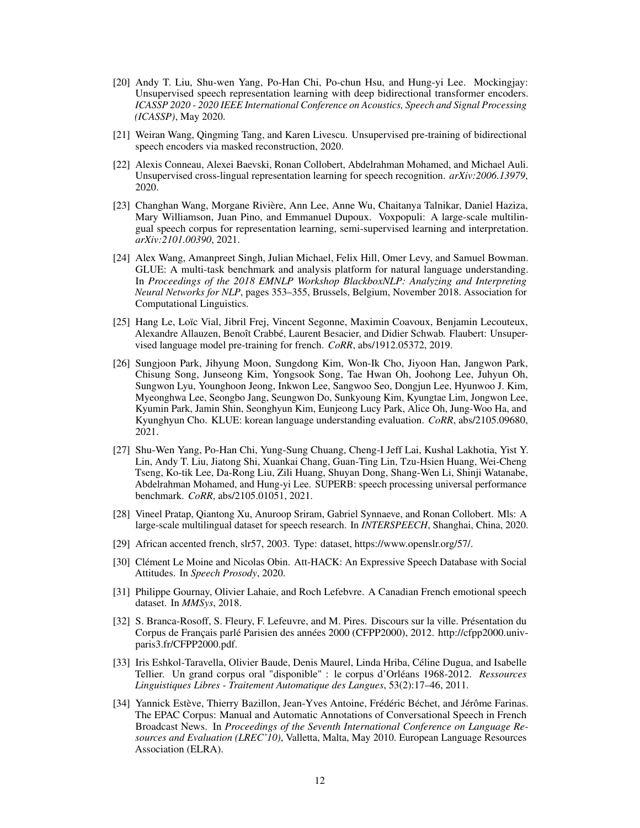- <span id="page-11-0"></span>[20] Andy T. Liu, Shu-wen Yang, Po-Han Chi, Po-chun Hsu, and Hung-yi Lee. Mockingjay: Unsupervised speech representation learning with deep bidirectional transformer encoders. *ICASSP 2020 - 2020 IEEE International Conference on Acoustics, Speech and Signal Processing (ICASSP)*, May 2020.
- <span id="page-11-1"></span>[21] Weiran Wang, Qingming Tang, and Karen Livescu. Unsupervised pre-training of bidirectional speech encoders via masked reconstruction, 2020.
- <span id="page-11-2"></span>[22] Alexis Conneau, Alexei Baevski, Ronan Collobert, Abdelrahman Mohamed, and Michael Auli. Unsupervised cross-lingual representation learning for speech recognition. *arXiv:2006.13979*, 2020.
- <span id="page-11-3"></span>[23] Changhan Wang, Morgane Rivière, Ann Lee, Anne Wu, Chaitanya Talnikar, Daniel Haziza, Mary Williamson, Juan Pino, and Emmanuel Dupoux. Voxpopuli: A large-scale multilingual speech corpus for representation learning, semi-supervised learning and interpretation. *arXiv:2101.00390*, 2021.
- <span id="page-11-4"></span>[24] Alex Wang, Amanpreet Singh, Julian Michael, Felix Hill, Omer Levy, and Samuel Bowman. GLUE: A multi-task benchmark and analysis platform for natural language understanding. In *Proceedings of the 2018 EMNLP Workshop BlackboxNLP: Analyzing and Interpreting Neural Networks for NLP*, pages 353–355, Brussels, Belgium, November 2018. Association for Computational Linguistics.
- <span id="page-11-5"></span>[25] Hang Le, Loïc Vial, Jibril Frej, Vincent Segonne, Maximin Coavoux, Benjamin Lecouteux, Alexandre Allauzen, Benoît Crabbé, Laurent Besacier, and Didier Schwab. Flaubert: Unsupervised language model pre-training for french. *CoRR*, abs/1912.05372, 2019.
- <span id="page-11-6"></span>[26] Sungjoon Park, Jihyung Moon, Sungdong Kim, Won-Ik Cho, Jiyoon Han, Jangwon Park, Chisung Song, Junseong Kim, Yongsook Song, Tae Hwan Oh, Joohong Lee, Juhyun Oh, Sungwon Lyu, Younghoon Jeong, Inkwon Lee, Sangwoo Seo, Dongjun Lee, Hyunwoo J. Kim, Myeonghwa Lee, Seongbo Jang, Seungwon Do, Sunkyoung Kim, Kyungtae Lim, Jongwon Lee, Kyumin Park, Jamin Shin, Seonghyun Kim, Eunjeong Lucy Park, Alice Oh, Jung-Woo Ha, and Kyunghyun Cho. KLUE: korean language understanding evaluation. *CoRR*, abs/2105.09680, 2021.
- <span id="page-11-7"></span>[27] Shu-Wen Yang, Po-Han Chi, Yung-Sung Chuang, Cheng-I Jeff Lai, Kushal Lakhotia, Yist Y. Lin, Andy T. Liu, Jiatong Shi, Xuankai Chang, Guan-Ting Lin, Tzu-Hsien Huang, Wei-Cheng Tseng, Ko-tik Lee, Da-Rong Liu, Zili Huang, Shuyan Dong, Shang-Wen Li, Shinji Watanabe, Abdelrahman Mohamed, and Hung-yi Lee. SUPERB: speech processing universal performance benchmark. *CoRR*, abs/2105.01051, 2021.
- <span id="page-11-8"></span>[28] Vineel Pratap, Qiantong Xu, Anuroop Sriram, Gabriel Synnaeve, and Ronan Collobert. Mls: A large-scale multilingual dataset for speech research. In *INTERSPEECH*, Shanghai, China, 2020.
- <span id="page-11-9"></span>[29] African accented french, slr57, 2003. Type: dataset, https://www.openslr.org/57/.
- <span id="page-11-10"></span>[30] Clément Le Moine and Nicolas Obin. Att-HACK: An Expressive Speech Database with Social Attitudes. In *Speech Prosody*, 2020.
- <span id="page-11-11"></span>[31] Philippe Gournay, Olivier Lahaie, and Roch Lefebvre. A Canadian French emotional speech dataset. In *MMSys*, 2018.
- <span id="page-11-12"></span>[32] S. Branca-Rosoff, S. Fleury, F. Lefeuvre, and M. Pires. Discours sur la ville. Présentation du Corpus de Français parlé Parisien des années 2000 (CFPP2000), 2012. http://cfpp2000.univparis3.fr/CFPP2000.pdf.
- <span id="page-11-13"></span>[33] Iris Eshkol-Taravella, Olivier Baude, Denis Maurel, Linda Hriba, Céline Dugua, and Isabelle Tellier. Un grand corpus oral "disponible" : le corpus d'Orléans 1968-2012. *Ressources Linguistiques Libres - Traitement Automatique des Langues*, 53(2):17–46, 2011.
- <span id="page-11-14"></span>[34] Yannick Estève, Thierry Bazillon, Jean-Yves Antoine, Frédéric Béchet, and Jérôme Farinas. The EPAC Corpus: Manual and Automatic Annotations of Conversational Speech in French Broadcast News. In *Proceedings of the Seventh International Conference on Language Resources and Evaluation (LREC'10)*, Valletta, Malta, May 2010. European Language Resources Association (ELRA).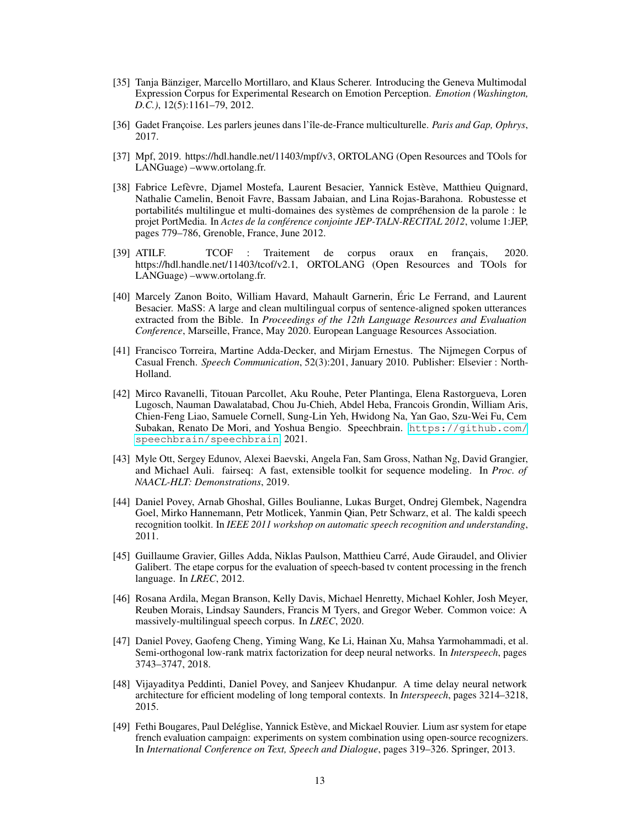- <span id="page-12-0"></span>[35] Tanja Bänziger, Marcello Mortillaro, and Klaus Scherer. Introducing the Geneva Multimodal Expression Corpus for Experimental Research on Emotion Perception. *Emotion (Washington, D.C.)*, 12(5):1161–79, 2012.
- <span id="page-12-1"></span>[36] Gadet Françoise. Les parlers jeunes dans l'île-de-France multiculturelle. *Paris and Gap, Ophrys*, 2017.
- <span id="page-12-2"></span>[37] Mpf, 2019. https://hdl.handle.net/11403/mpf/v3, ORTOLANG (Open Resources and TOols for LANGuage) –www.ortolang.fr.
- <span id="page-12-3"></span>[38] Fabrice Lefèvre, Djamel Mostefa, Laurent Besacier, Yannick Estève, Matthieu Quignard, Nathalie Camelin, Benoit Favre, Bassam Jabaian, and Lina Rojas-Barahona. Robustesse et portabilités multilingue et multi-domaines des systèmes de compréhension de la parole : le projet PortMedia. In *Actes de la conférence conjointe JEP-TALN-RECITAL 2012*, volume 1:JEP, pages 779–786, Grenoble, France, June 2012.
- <span id="page-12-4"></span>[39] ATILF. TCOF : Traitement de corpus oraux en français, 2020. https://hdl.handle.net/11403/tcof/v2.1, ORTOLANG (Open Resources and TOols for LANGuage) –www.ortolang.fr.
- <span id="page-12-5"></span>[40] Marcely Zanon Boito, William Havard, Mahault Garnerin, Éric Le Ferrand, and Laurent Besacier. MaSS: A large and clean multilingual corpus of sentence-aligned spoken utterances extracted from the Bible. In *Proceedings of the 12th Language Resources and Evaluation Conference*, Marseille, France, May 2020. European Language Resources Association.
- <span id="page-12-6"></span>[41] Francisco Torreira, Martine Adda-Decker, and Mirjam Ernestus. The Nijmegen Corpus of Casual French. *Speech Communication*, 52(3):201, January 2010. Publisher: Elsevier : North-Holland.
- <span id="page-12-7"></span>[42] Mirco Ravanelli, Titouan Parcollet, Aku Rouhe, Peter Plantinga, Elena Rastorgueva, Loren Lugosch, Nauman Dawalatabad, Chou Ju-Chieh, Abdel Heba, Francois Grondin, William Aris, Chien-Feng Liao, Samuele Cornell, Sung-Lin Yeh, Hwidong Na, Yan Gao, Szu-Wei Fu, Cem Subakan, Renato De Mori, and Yoshua Bengio. Speechbrain. [https://github.com/](https://github.com/speechbrain/speechbrain) [speechbrain/speechbrain](https://github.com/speechbrain/speechbrain), 2021.
- <span id="page-12-8"></span>[43] Myle Ott, Sergey Edunov, Alexei Baevski, Angela Fan, Sam Gross, Nathan Ng, David Grangier, and Michael Auli. fairseq: A fast, extensible toolkit for sequence modeling. In *Proc. of NAACL-HLT: Demonstrations*, 2019.
- <span id="page-12-9"></span>[44] Daniel Povey, Arnab Ghoshal, Gilles Boulianne, Lukas Burget, Ondrej Glembek, Nagendra Goel, Mirko Hannemann, Petr Motlicek, Yanmin Qian, Petr Schwarz, et al. The kaldi speech recognition toolkit. In *IEEE 2011 workshop on automatic speech recognition and understanding*, 2011.
- <span id="page-12-10"></span>[45] Guillaume Gravier, Gilles Adda, Niklas Paulson, Matthieu Carré, Aude Giraudel, and Olivier Galibert. The etape corpus for the evaluation of speech-based tv content processing in the french language. In *LREC*, 2012.
- <span id="page-12-11"></span>[46] Rosana Ardila, Megan Branson, Kelly Davis, Michael Henretty, Michael Kohler, Josh Meyer, Reuben Morais, Lindsay Saunders, Francis M Tyers, and Gregor Weber. Common voice: A massively-multilingual speech corpus. In *LREC*, 2020.
- <span id="page-12-12"></span>[47] Daniel Povey, Gaofeng Cheng, Yiming Wang, Ke Li, Hainan Xu, Mahsa Yarmohammadi, et al. Semi-orthogonal low-rank matrix factorization for deep neural networks. In *Interspeech*, pages 3743–3747, 2018.
- <span id="page-12-13"></span>[48] Vijayaditya Peddinti, Daniel Povey, and Sanjeev Khudanpur. A time delay neural network architecture for efficient modeling of long temporal contexts. In *Interspeech*, pages 3214–3218, 2015.
- <span id="page-12-14"></span>[49] Fethi Bougares, Paul Deléglise, Yannick Estève, and Mickael Rouvier. Lium asr system for etape french evaluation campaign: experiments on system combination using open-source recognizers. In *International Conference on Text, Speech and Dialogue*, pages 319–326. Springer, 2013.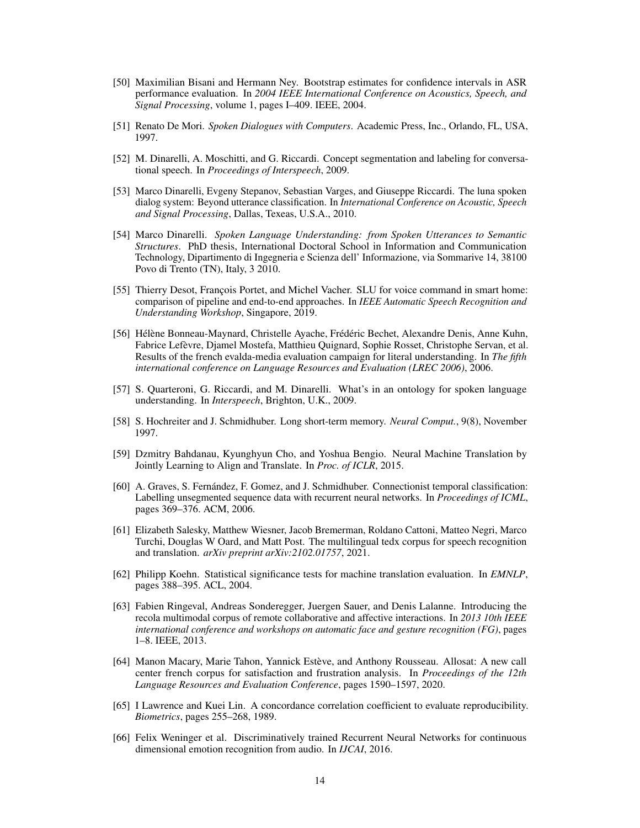- <span id="page-13-0"></span>[50] Maximilian Bisani and Hermann Ney. Bootstrap estimates for confidence intervals in ASR performance evaluation. In *2004 IEEE International Conference on Acoustics, Speech, and Signal Processing*, volume 1, pages I–409. IEEE, 2004.
- <span id="page-13-1"></span>[51] Renato De Mori. *Spoken Dialogues with Computers*. Academic Press, Inc., Orlando, FL, USA, 1997.
- <span id="page-13-2"></span>[52] M. Dinarelli, A. Moschitti, and G. Riccardi. Concept segmentation and labeling for conversational speech. In *Proceedings of Interspeech*, 2009.
- <span id="page-13-3"></span>[53] Marco Dinarelli, Evgeny Stepanov, Sebastian Varges, and Giuseppe Riccardi. The luna spoken dialog system: Beyond utterance classification. In *International Conference on Acoustic, Speech and Signal Processing*, Dallas, Texeas, U.S.A., 2010.
- <span id="page-13-4"></span>[54] Marco Dinarelli. *Spoken Language Understanding: from Spoken Utterances to Semantic Structures*. PhD thesis, International Doctoral School in Information and Communication Technology, Dipartimento di Ingegneria e Scienza dell' Informazione, via Sommarive 14, 38100 Povo di Trento (TN), Italy, 3 2010.
- <span id="page-13-5"></span>[55] Thierry Desot, François Portet, and Michel Vacher. SLU for voice command in smart home: comparison of pipeline and end-to-end approaches. In *IEEE Automatic Speech Recognition and Understanding Workshop*, Singapore, 2019.
- <span id="page-13-6"></span>[56] Hélène Bonneau-Maynard, Christelle Ayache, Frédéric Bechet, Alexandre Denis, Anne Kuhn, Fabrice Lefèvre, Djamel Mostefa, Matthieu Quignard, Sophie Rosset, Christophe Servan, et al. Results of the french evalda-media evaluation campaign for literal understanding. In *The fifth international conference on Language Resources and Evaluation (LREC 2006)*, 2006.
- <span id="page-13-7"></span>[57] S. Quarteroni, G. Riccardi, and M. Dinarelli. What's in an ontology for spoken language understanding. In *Interspeech*, Brighton, U.K., 2009.
- <span id="page-13-8"></span>[58] S. Hochreiter and J. Schmidhuber. Long short-term memory. *Neural Comput.*, 9(8), November 1997.
- <span id="page-13-9"></span>[59] Dzmitry Bahdanau, Kyunghyun Cho, and Yoshua Bengio. Neural Machine Translation by Jointly Learning to Align and Translate. In *Proc. of ICLR*, 2015.
- <span id="page-13-10"></span>[60] A. Graves, S. Fernández, F. Gomez, and J. Schmidhuber. Connectionist temporal classification: Labelling unsegmented sequence data with recurrent neural networks. In *Proceedings of ICML*, pages 369–376. ACM, 2006.
- <span id="page-13-11"></span>[61] Elizabeth Salesky, Matthew Wiesner, Jacob Bremerman, Roldano Cattoni, Matteo Negri, Marco Turchi, Douglas W Oard, and Matt Post. The multilingual tedx corpus for speech recognition and translation. *arXiv preprint arXiv:2102.01757*, 2021.
- <span id="page-13-12"></span>[62] Philipp Koehn. Statistical significance tests for machine translation evaluation. In *EMNLP*, pages 388–395. ACL, 2004.
- <span id="page-13-13"></span>[63] Fabien Ringeval, Andreas Sonderegger, Juergen Sauer, and Denis Lalanne. Introducing the recola multimodal corpus of remote collaborative and affective interactions. In *2013 10th IEEE international conference and workshops on automatic face and gesture recognition (FG)*, pages 1–8. IEEE, 2013.
- <span id="page-13-14"></span>[64] Manon Macary, Marie Tahon, Yannick Estève, and Anthony Rousseau. Allosat: A new call center french corpus for satisfaction and frustration analysis. In *Proceedings of the 12th Language Resources and Evaluation Conference*, pages 1590–1597, 2020.
- <span id="page-13-15"></span>[65] I Lawrence and Kuei Lin. A concordance correlation coefficient to evaluate reproducibility. *Biometrics*, pages 255–268, 1989.
- <span id="page-13-16"></span>[66] Felix Weninger et al. Discriminatively trained Recurrent Neural Networks for continuous dimensional emotion recognition from audio. In *IJCAI*, 2016.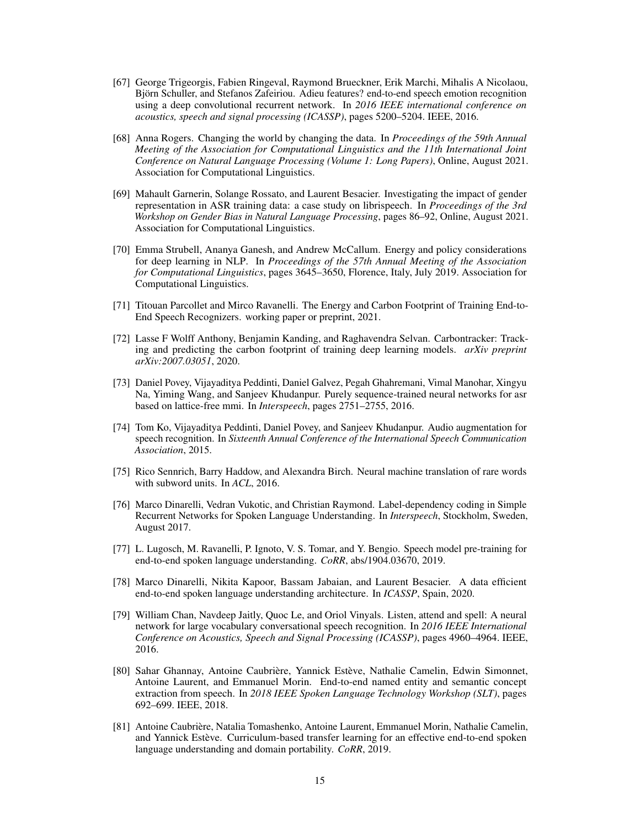- <span id="page-14-0"></span>[67] George Trigeorgis, Fabien Ringeval, Raymond Brueckner, Erik Marchi, Mihalis A Nicolaou, Björn Schuller, and Stefanos Zafeiriou. Adieu features? end-to-end speech emotion recognition using a deep convolutional recurrent network. In *2016 IEEE international conference on acoustics, speech and signal processing (ICASSP)*, pages 5200–5204. IEEE, 2016.
- <span id="page-14-1"></span>[68] Anna Rogers. Changing the world by changing the data. In *Proceedings of the 59th Annual Meeting of the Association for Computational Linguistics and the 11th International Joint Conference on Natural Language Processing (Volume 1: Long Papers)*, Online, August 2021. Association for Computational Linguistics.
- <span id="page-14-2"></span>[69] Mahault Garnerin, Solange Rossato, and Laurent Besacier. Investigating the impact of gender representation in ASR training data: a case study on librispeech. In *Proceedings of the 3rd Workshop on Gender Bias in Natural Language Processing*, pages 86–92, Online, August 2021. Association for Computational Linguistics.
- <span id="page-14-3"></span>[70] Emma Strubell, Ananya Ganesh, and Andrew McCallum. Energy and policy considerations for deep learning in NLP. In *Proceedings of the 57th Annual Meeting of the Association for Computational Linguistics*, pages 3645–3650, Florence, Italy, July 2019. Association for Computational Linguistics.
- <span id="page-14-4"></span>[71] Titouan Parcollet and Mirco Ravanelli. The Energy and Carbon Footprint of Training End-to-End Speech Recognizers. working paper or preprint, 2021.
- <span id="page-14-5"></span>[72] Lasse F Wolff Anthony, Benjamin Kanding, and Raghavendra Selvan. Carbontracker: Tracking and predicting the carbon footprint of training deep learning models. *arXiv preprint arXiv:2007.03051*, 2020.
- [73] Daniel Povey, Vijayaditya Peddinti, Daniel Galvez, Pegah Ghahremani, Vimal Manohar, Xingyu Na, Yiming Wang, and Sanjeev Khudanpur. Purely sequence-trained neural networks for asr based on lattice-free mmi. In *Interspeech*, pages 2751–2755, 2016.
- [74] Tom Ko, Vijayaditya Peddinti, Daniel Povey, and Sanjeev Khudanpur. Audio augmentation for speech recognition. In *Sixteenth Annual Conference of the International Speech Communication Association*, 2015.
- [75] Rico Sennrich, Barry Haddow, and Alexandra Birch. Neural machine translation of rare words with subword units. In *ACL*, 2016.
- [76] Marco Dinarelli, Vedran Vukotic, and Christian Raymond. Label-dependency coding in Simple Recurrent Networks for Spoken Language Understanding. In *Interspeech*, Stockholm, Sweden, August 2017.
- [77] L. Lugosch, M. Ravanelli, P. Ignoto, V. S. Tomar, and Y. Bengio. Speech model pre-training for end-to-end spoken language understanding. *CoRR*, abs/1904.03670, 2019.
- [78] Marco Dinarelli, Nikita Kapoor, Bassam Jabaian, and Laurent Besacier. A data efficient end-to-end spoken language understanding architecture. In *ICASSP*, Spain, 2020.
- [79] William Chan, Navdeep Jaitly, Quoc Le, and Oriol Vinyals. Listen, attend and spell: A neural network for large vocabulary conversational speech recognition. In *2016 IEEE International Conference on Acoustics, Speech and Signal Processing (ICASSP)*, pages 4960–4964. IEEE, 2016.
- [80] Sahar Ghannay, Antoine Caubrière, Yannick Estève, Nathalie Camelin, Edwin Simonnet, Antoine Laurent, and Emmanuel Morin. End-to-end named entity and semantic concept extraction from speech. In *2018 IEEE Spoken Language Technology Workshop (SLT)*, pages 692–699. IEEE, 2018.
- [81] Antoine Caubrière, Natalia Tomashenko, Antoine Laurent, Emmanuel Morin, Nathalie Camelin, and Yannick Estève. Curriculum-based transfer learning for an effective end-to-end spoken language understanding and domain portability. *CoRR*, 2019.